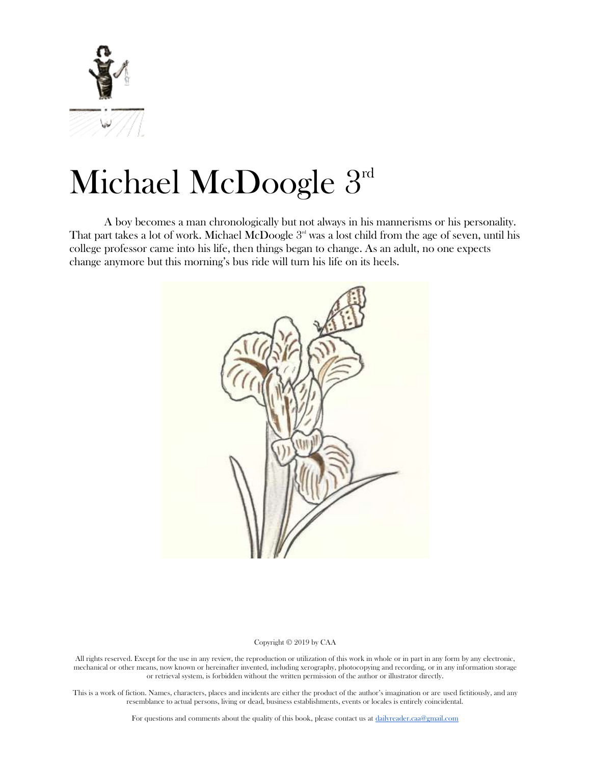

# Michael McDoogle 3rd

A boy becomes a man chronologically but not always in his mannerisms or his personality. That part takes a lot of work. Michael McDoogle  $3<sup>nd</sup>$  was a lost child from the age of seven, until his college professor came into his life, then things began to change. As an adult, no one expects change anymore but this morning's bus ride will turn his life on its heels.



#### Copyright © 2019 by CAA

All rights reserved. Except for the use in any review, the reproduction or utilization of this work in whole or in part in any form by any electronic, mechanical or other means, now known or hereinafter invented, including xerography, photocopying and recording, or in any information storage or retrieval system, is forbidden without the written permission of the author or illustrator directly.

This is a work of fiction. Names, characters, places and incidents are either the product of the author's imagination or are used fictitiously, and any resemblance to actual persons, living or dead, business establishments, events or locales is entirely coincidental.

For questions and comments about the quality of this book, please contact us at [dailyreader.caa@gmail.com](mailto:dailyreader.caa@gmail.com)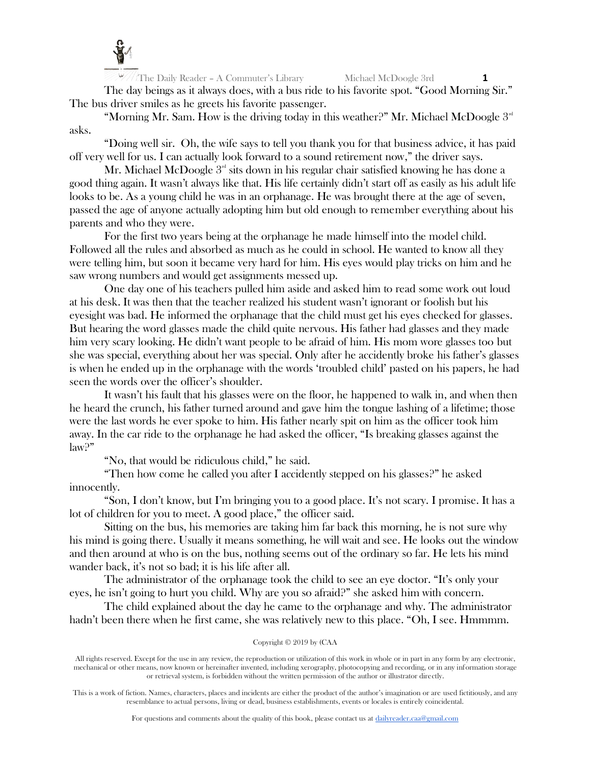

The day beings as it always does, with a bus ride to his favorite spot. "Good Morning Sir." The bus driver smiles as he greets his favorite passenger.

"Morning Mr. Sam. How is the driving today in this weather?" Mr. Michael McDoogle  $3<sup>rd</sup>$ asks.

"Doing well sir. Oh, the wife says to tell you thank you for that business advice, it has paid off very well for us. I can actually look forward to a sound retirement now," the driver says.

Mr. Michael McDoogle  $3<sup>rd</sup>$  sits down in his regular chair satisfied knowing he has done a good thing again. It wasn't always like that. His life certainly didn't start off as easily as his adult life looks to be. As a young child he was in an orphanage. He was brought there at the age of seven, passed the age of anyone actually adopting him but old enough to remember everything about his parents and who they were.

For the first two years being at the orphanage he made himself into the model child. Followed all the rules and absorbed as much as he could in school. He wanted to know all they were telling him, but soon it became very hard for him. His eyes would play tricks on him and he saw wrong numbers and would get assignments messed up.

One day one of his teachers pulled him aside and asked him to read some work out loud at his desk. It was then that the teacher realized his student wasn't ignorant or foolish but his eyesight was bad. He informed the orphanage that the child must get his eyes checked for glasses. But hearing the word glasses made the child quite nervous. His father had glasses and they made him very scary looking. He didn't want people to be afraid of him. His mom wore glasses too but she was special, everything about her was special. Only after he accidently broke his father's glasses is when he ended up in the orphanage with the words 'troubled child' pasted on his papers, he had seen the words over the officer's shoulder.

It wasn't his fault that his glasses were on the floor, he happened to walk in, and when then he heard the crunch, his father turned around and gave him the tongue lashing of a lifetime; those were the last words he ever spoke to him. His father nearly spit on him as the officer took him away. In the car ride to the orphanage he had asked the officer, "Is breaking glasses against the law?"

"No, that would be ridiculous child," he said.

"Then how come he called you after I accidently stepped on his glasses?" he asked innocently.

"Son, I don't know, but I'm bringing you to a good place. It's not scary. I promise. It has a lot of children for you to meet. A good place," the officer said.

Sitting on the bus, his memories are taking him far back this morning, he is not sure why his mind is going there. Usually it means something, he will wait and see. He looks out the window and then around at who is on the bus, nothing seems out of the ordinary so far. He lets his mind wander back, it's not so bad; it is his life after all.

The administrator of the orphanage took the child to see an eye doctor. "It's only your eyes, he isn't going to hurt you child. Why are you so afraid?" she asked him with concern.

The child explained about the day he came to the orphanage and why. The administrator hadn't been there when he first came, she was relatively new to this place. "Oh, I see. Hmmmm.

## Copyright © 2019 by (CAA

All rights reserved. Except for the use in any review, the reproduction or utilization of this work in whole or in part in any form by any electronic, mechanical or other means, now known or hereinafter invented, including xerography, photocopying and recording, or in any information storage or retrieval system, is forbidden without the written permission of the author or illustrator directly.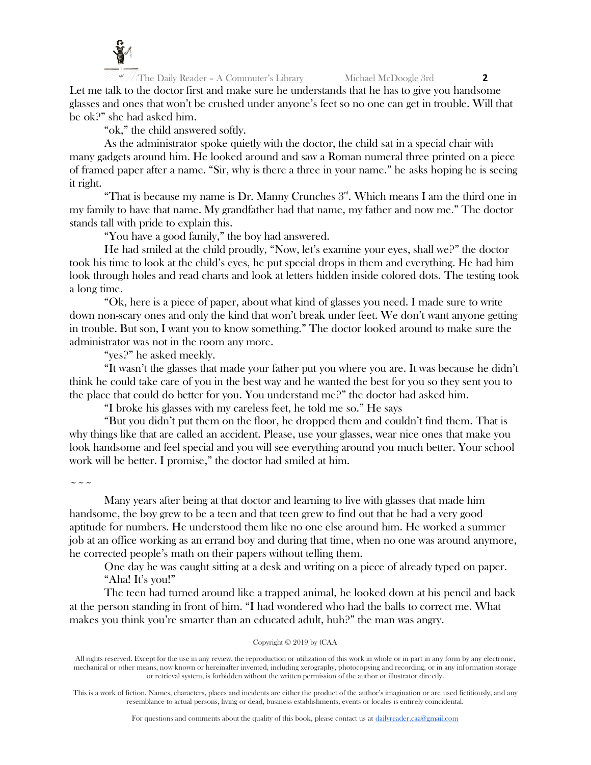

The Daily Reader – A Commuter's Library Michael McDoogle 3rd **2** Let me talk to the doctor first and make sure he understands that he has to give you handsome glasses and ones that won't be crushed under anyone's feet so no one can get in trouble. Will that be ok?" she had asked him.

"ok," the child answered softly.

As the administrator spoke quietly with the doctor, the child sat in a special chair with many gadgets around him. He looked around and saw a Roman numeral three printed on a piece of framed paper after a name. "Sir, why is there a three in your name." he asks hoping he is seeing it right.

"That is because my name is Dr. Manny Crunches  $3<sup>rd</sup>$ . Which means I am the third one in my family to have that name. My grandfather had that name, my father and now me." The doctor stands tall with pride to explain this.

"You have a good family," the boy had answered.

He had smiled at the child proudly, "Now, let's examine your eyes, shall we?" the doctor took his time to look at the child's eyes, he put special drops in them and everything. He had him look through holes and read charts and look at letters hidden inside colored dots. The testing took a long time.

"Ok, here is a piece of paper, about what kind of glasses you need. I made sure to write down non-scary ones and only the kind that won't break under feet. We don't want anyone getting in trouble. But son, I want you to know something." The doctor looked around to make sure the administrator was not in the room any more.

"yes?" he asked meekly.

"It wasn't the glasses that made your father put you where you are. It was because he didn't think he could take care of you in the best way and he wanted the best for you so they sent you to the place that could do better for you. You understand me?" the doctor had asked him.

"I broke his glasses with my careless feet, he told me so." He says

"But you didn't put them on the floor, he dropped them and couldn't find them. That is why things like that are called an accident. Please, use your glasses, wear nice ones that make you look handsome and feel special and you will see everything around you much better. Your school work will be better. I promise," the doctor had smiled at him.

 $\sim$   $\sim$   $\sim$ 

Many years after being at that doctor and learning to live with glasses that made him handsome, the boy grew to be a teen and that teen grew to find out that he had a very good aptitude for numbers. He understood them like no one else around him. He worked a summer job at an office working as an errand boy and during that time, when no one was around anymore, he corrected people's math on their papers without telling them.

One day he was caught sitting at a desk and writing on a piece of already typed on paper. "Aha! It's you!"

The teen had turned around like a trapped animal, he looked down at his pencil and back at the person standing in front of him. "I had wondered who had the balls to correct me. What makes you think you're smarter than an educated adult, huh?" the man was angry.

## Copyright © 2019 by (CAA

All rights reserved. Except for the use in any review, the reproduction or utilization of this work in whole or in part in any form by any electronic, mechanical or other means, now known or hereinafter invented, including xerography, photocopying and recording, or in any information storage or retrieval system, is forbidden without the written permission of the author or illustrator directly.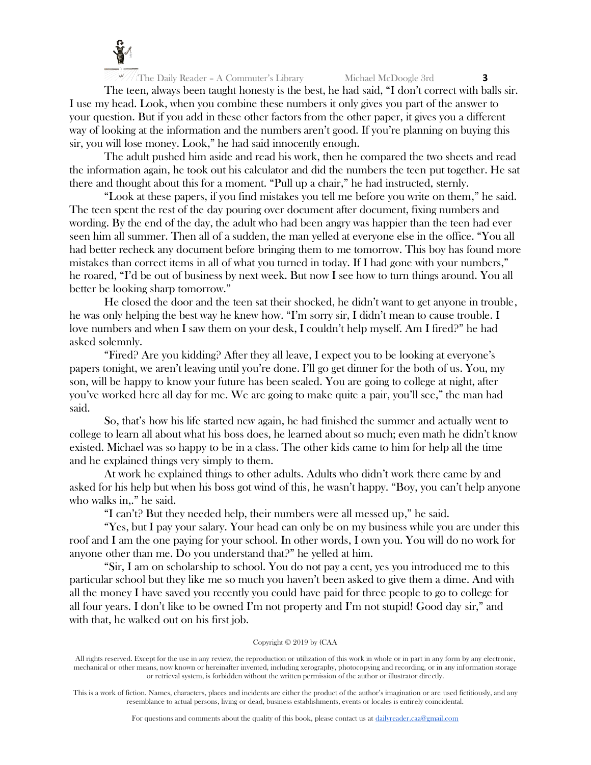

The teen, always been taught honesty is the best, he had said, "I don't correct with balls sir. I use my head. Look, when you combine these numbers it only gives you part of the answer to your question. But if you add in these other factors from the other paper, it gives you a different way of looking at the information and the numbers aren't good. If you're planning on buying this sir, you will lose money. Look," he had said innocently enough.

The adult pushed him aside and read his work, then he compared the two sheets and read the information again, he took out his calculator and did the numbers the teen put together. He sat there and thought about this for a moment. "Pull up a chair," he had instructed, sternly.

"Look at these papers, if you find mistakes you tell me before you write on them," he said. The teen spent the rest of the day pouring over document after document, fixing numbers and wording. By the end of the day, the adult who had been angry was happier than the teen had ever seen him all summer. Then all of a sudden, the man yelled at everyone else in the office. "You all had better recheck any document before bringing them to me tomorrow. This boy has found more mistakes than correct items in all of what you turned in today. If I had gone with your numbers," he roared, "I'd be out of business by next week. But now I see how to turn things around. You all better be looking sharp tomorrow."

He closed the door and the teen sat their shocked, he didn't want to get anyone in trouble, he was only helping the best way he knew how. "I'm sorry sir, I didn't mean to cause trouble. I love numbers and when I saw them on your desk, I couldn't help myself. Am I fired?" he had asked solemnly.

"Fired? Are you kidding? After they all leave, I expect you to be looking at everyone's papers tonight, we aren't leaving until you're done. I'll go get dinner for the both of us. You, my son, will be happy to know your future has been sealed. You are going to college at night, after you've worked here all day for me. We are going to make quite a pair, you'll see," the man had said.

So, that's how his life started new again, he had finished the summer and actually went to college to learn all about what his boss does, he learned about so much; even math he didn't know existed. Michael was so happy to be in a class. The other kids came to him for help all the time and he explained things very simply to them.

At work he explained things to other adults. Adults who didn't work there came by and asked for his help but when his boss got wind of this, he wasn't happy. "Boy, you can't help anyone who walks in,." he said.

"I can't? But they needed help, their numbers were all messed up," he said.

"Yes, but I pay your salary. Your head can only be on my business while you are under this roof and I am the one paying for your school. In other words, I own you. You will do no work for anyone other than me. Do you understand that?" he yelled at him.

"Sir, I am on scholarship to school. You do not pay a cent, yes you introduced me to this particular school but they like me so much you haven't been asked to give them a dime. And with all the money I have saved you recently you could have paid for three people to go to college for all four years. I don't like to be owned I'm not property and I'm not stupid! Good day sir," and with that, he walked out on his first job.

## Copyright © 2019 by (CAA

All rights reserved. Except for the use in any review, the reproduction or utilization of this work in whole or in part in any form by any electronic, mechanical or other means, now known or hereinafter invented, including xerography, photocopying and recording, or in any information storage or retrieval system, is forbidden without the written permission of the author or illustrator directly.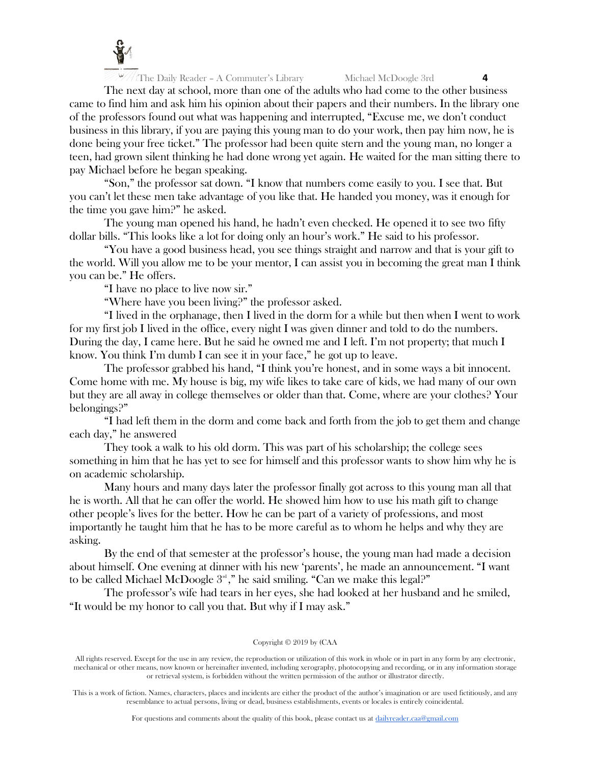

The next day at school, more than one of the adults who had come to the other business came to find him and ask him his opinion about their papers and their numbers. In the library one of the professors found out what was happening and interrupted, "Excuse me, we don't conduct business in this library, if you are paying this young man to do your work, then pay him now, he is done being your free ticket." The professor had been quite stern and the young man, no longer a teen, had grown silent thinking he had done wrong yet again. He waited for the man sitting there to pay Michael before he began speaking.

"Son," the professor sat down. "I know that numbers come easily to you. I see that. But you can't let these men take advantage of you like that. He handed you money, was it enough for the time you gave him?" he asked.

The young man opened his hand, he hadn't even checked. He opened it to see two fifty dollar bills. "This looks like a lot for doing only an hour's work." He said to his professor.

"You have a good business head, you see things straight and narrow and that is your gift to the world. Will you allow me to be your mentor, I can assist you in becoming the great man I think you can be." He offers.

"I have no place to live now sir."

"Where have you been living?" the professor asked.

"I lived in the orphanage, then I lived in the dorm for a while but then when I went to work for my first job I lived in the office, every night I was given dinner and told to do the numbers. During the day, I came here. But he said he owned me and I left. I'm not property; that much I know. You think I'm dumb I can see it in your face," he got up to leave.

The professor grabbed his hand, "I think you're honest, and in some ways a bit innocent. Come home with me. My house is big, my wife likes to take care of kids, we had many of our own but they are all away in college themselves or older than that. Come, where are your clothes? Your belongings?"

"I had left them in the dorm and come back and forth from the job to get them and change each day," he answered

They took a walk to his old dorm. This was part of his scholarship; the college sees something in him that he has yet to see for himself and this professor wants to show him why he is on academic scholarship.

Many hours and many days later the professor finally got across to this young man all that he is worth. All that he can offer the world. He showed him how to use his math gift to change other people's lives for the better. How he can be part of a variety of professions, and most importantly he taught him that he has to be more careful as to whom he helps and why they are asking.

By the end of that semester at the professor's house, the young man had made a decision about himself. One evening at dinner with his new 'parents', he made an announcement. "I want to be called Michael McDoogle  $3^{\text{\tiny{nd}}},$ " he said smiling. "Can we make this legal?"

The professor's wife had tears in her eyes, she had looked at her husband and he smiled, "It would be my honor to call you that. But why if I may ask."

#### Copyright © 2019 by (CAA

All rights reserved. Except for the use in any review, the reproduction or utilization of this work in whole or in part in any form by any electronic, mechanical or other means, now known or hereinafter invented, including xerography, photocopying and recording, or in any information storage or retrieval system, is forbidden without the written permission of the author or illustrator directly.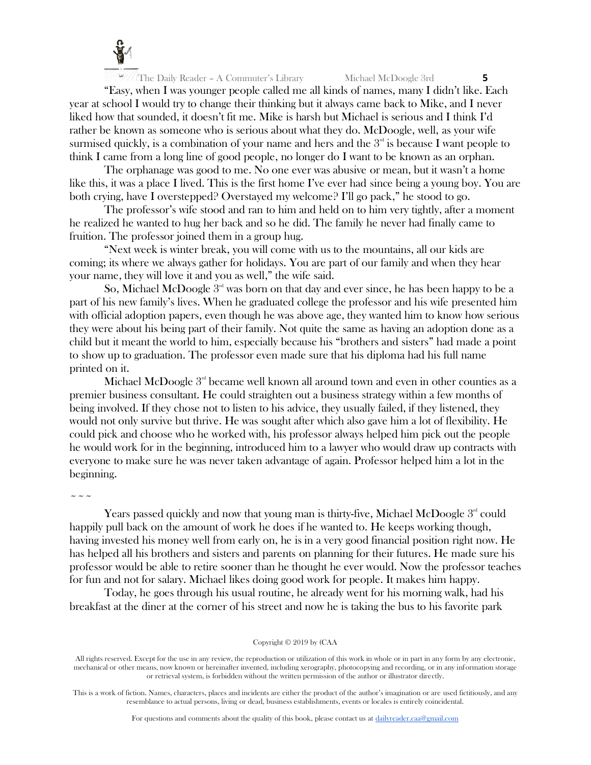

"Easy, when I was younger people called me all kinds of names, many I didn't like. Each year at school I would try to change their thinking but it always came back to Mike, and I never liked how that sounded, it doesn't fit me. Mike is harsh but Michael is serious and I think I'd rather be known as someone who is serious about what they do. McDoogle, well, as your wife surmised quickly, is a combination of your name and hers and the  $3<sup>nd</sup>$  is because I want people to think I came from a long line of good people, no longer do I want to be known as an orphan.

The orphanage was good to me. No one ever was abusive or mean, but it wasn't a home like this, it was a place I lived. This is the first home I've ever had since being a young boy. You are both crying, have I overstepped? Overstayed my welcome? I'll go pack," he stood to go.

The professor's wife stood and ran to him and held on to him very tightly, after a moment he realized he wanted to hug her back and so he did. The family he never had finally came to fruition. The professor joined them in a group hug.

"Next week is winter break, you will come with us to the mountains, all our kids are coming; its where we always gather for holidays. You are part of our family and when they hear your name, they will love it and you as well," the wife said.

So, Michael McDoogle  $3<sup>rd</sup>$  was born on that day and ever since, he has been happy to be a part of his new family's lives. When he graduated college the professor and his wife presented him with official adoption papers, even though he was above age, they wanted him to know how serious they were about his being part of their family. Not quite the same as having an adoption done as a child but it meant the world to him, especially because his "brothers and sisters" had made a point to show up to graduation. The professor even made sure that his diploma had his full name printed on it.

Michael McDoogle  $3<sup>rd</sup>$  became well known all around town and even in other counties as a premier business consultant. He could straighten out a business strategy within a few months of being involved. If they chose not to listen to his advice, they usually failed, if they listened, they would not only survive but thrive. He was sought after which also gave him a lot of flexibility. He could pick and choose who he worked with, his professor always helped him pick out the people he would work for in the beginning, introduced him to a lawyer who would draw up contracts with everyone to make sure he was never taken advantage of again. Professor helped him a lot in the beginning.

 $\sim$   $\sim$   $\sim$ 

Years passed quickly and now that young man is thirty-five, Michael McDoogle  $3<sup>nd</sup>$  could happily pull back on the amount of work he does if he wanted to. He keeps working though, having invested his money well from early on, he is in a very good financial position right now. He has helped all his brothers and sisters and parents on planning for their futures. He made sure his professor would be able to retire sooner than he thought he ever would. Now the professor teaches for fun and not for salary. Michael likes doing good work for people. It makes him happy.

Today, he goes through his usual routine, he already went for his morning walk, had his breakfast at the diner at the corner of his street and now he is taking the bus to his favorite park

Copyright © 2019 by (CAA

All rights reserved. Except for the use in any review, the reproduction or utilization of this work in whole or in part in any form by any electronic, mechanical or other means, now known or hereinafter invented, including xerography, photocopying and recording, or in any information storage or retrieval system, is forbidden without the written permission of the author or illustrator directly.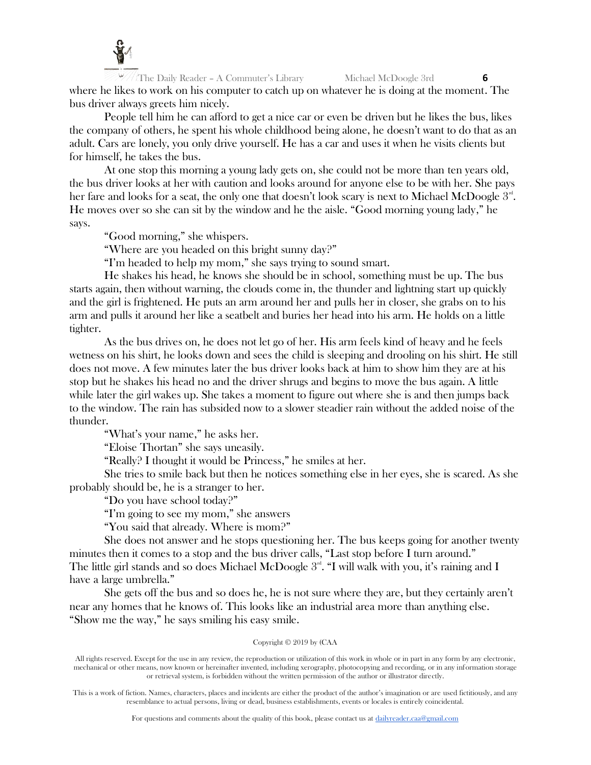

The Daily Reader – A Commuter's Library Michael McDoogle 3rd **6** where he likes to work on his computer to catch up on whatever he is doing at the moment. The bus driver always greets him nicely.

People tell him he can afford to get a nice car or even be driven but he likes the bus, likes the company of others, he spent his whole childhood being alone, he doesn't want to do that as an adult. Cars are lonely, you only drive yourself. He has a car and uses it when he visits clients but for himself, he takes the bus.

At one stop this morning a young lady gets on, she could not be more than ten years old, the bus driver looks at her with caution and looks around for anyone else to be with her. She pays her fare and looks for a seat, the only one that doesn't look scary is next to Michael McDoogle  $3<sup>rd</sup>$ . He moves over so she can sit by the window and he the aisle. "Good morning young lady," he says.

"Good morning," she whispers.

"Where are you headed on this bright sunny day?"

"I'm headed to help my mom," she says trying to sound smart.

He shakes his head, he knows she should be in school, something must be up. The bus starts again, then without warning, the clouds come in, the thunder and lightning start up quickly and the girl is frightened. He puts an arm around her and pulls her in closer, she grabs on to his arm and pulls it around her like a seatbelt and buries her head into his arm. He holds on a little tighter.

As the bus drives on, he does not let go of her. His arm feels kind of heavy and he feels wetness on his shirt, he looks down and sees the child is sleeping and drooling on his shirt. He still does not move. A few minutes later the bus driver looks back at him to show him they are at his stop but he shakes his head no and the driver shrugs and begins to move the bus again. A little while later the girl wakes up. She takes a moment to figure out where she is and then jumps back to the window. The rain has subsided now to a slower steadier rain without the added noise of the thunder.

"What's your name," he asks her.

"Eloise Thortan" she says uneasily.

"Really? I thought it would be Princess," he smiles at her.

She tries to smile back but then he notices something else in her eyes, she is scared. As she probably should be, he is a stranger to her.

"Do you have school today?"

"I'm going to see my mom," she answers

"You said that already. Where is mom?"

She does not answer and he stops questioning her. The bus keeps going for another twenty minutes then it comes to a stop and the bus driver calls, "Last stop before I turn around." The little girl stands and so does Michael McDoogle  $3<sup>rd</sup>$ . "I will walk with you, it's raining and I have a large umbrella."

She gets off the bus and so does he, he is not sure where they are, but they certainly aren't near any homes that he knows of. This looks like an industrial area more than anything else. "Show me the way," he says smiling his easy smile.

## Copyright © 2019 by (CAA

All rights reserved. Except for the use in any review, the reproduction or utilization of this work in whole or in part in any form by any electronic, mechanical or other means, now known or hereinafter invented, including xerography, photocopying and recording, or in any information storage or retrieval system, is forbidden without the written permission of the author or illustrator directly.

This is a work of fiction. Names, characters, places and incidents are either the product of the author's imagination or are used fictitiously, and any resemblance to actual persons, living or dead, business establishments, events or locales is entirely coincidental.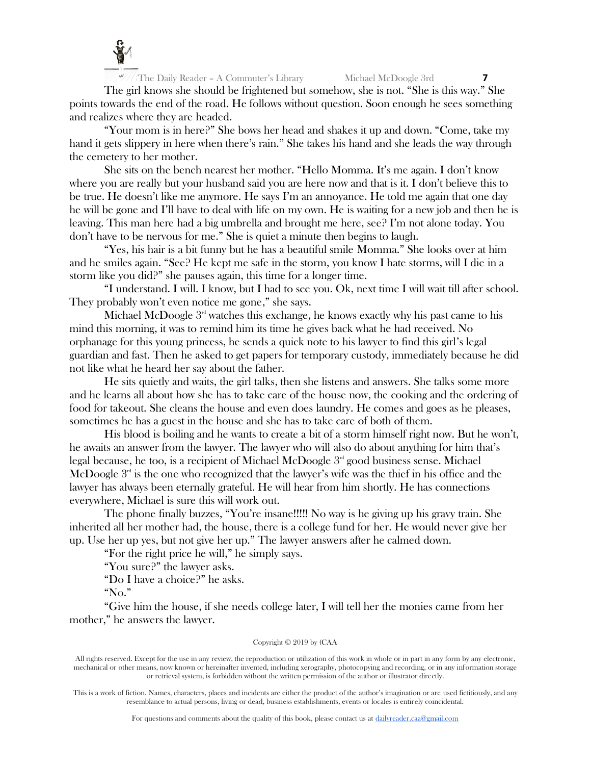

The girl knows she should be frightened but somehow, she is not. "She is this way." She points towards the end of the road. He follows without question. Soon enough he sees something and realizes where they are headed.

"Your mom is in here?" She bows her head and shakes it up and down. "Come, take my hand it gets slippery in here when there's rain." She takes his hand and she leads the way through the cemetery to her mother.

She sits on the bench nearest her mother. "Hello Momma. It's me again. I don't know where you are really but your husband said you are here now and that is it. I don't believe this to be true. He doesn't like me anymore. He says I'm an annoyance. He told me again that one day he will be gone and I'll have to deal with life on my own. He is waiting for a new job and then he is leaving. This man here had a big umbrella and brought me here, see? I'm not alone today. You don't have to be nervous for me." She is quiet a minute then begins to laugh.

"Yes, his hair is a bit funny but he has a beautiful smile Momma." She looks over at him and he smiles again. "See? He kept me safe in the storm, you know I hate storms, will I die in a storm like you did?" she pauses again, this time for a longer time.

"I understand. I will. I know, but I had to see you. Ok, next time I will wait till after school. They probably won't even notice me gone," she says.

Michael McDoogle  $3<sup>nd</sup>$  watches this exchange, he knows exactly why his past came to his mind this morning, it was to remind him its time he gives back what he had received. No orphanage for this young princess, he sends a quick note to his lawyer to find this girl's legal guardian and fast. Then he asked to get papers for temporary custody, immediately because he did not like what he heard her say about the father.

He sits quietly and waits, the girl talks, then she listens and answers. She talks some more and he learns all about how she has to take care of the house now, the cooking and the ordering of food for takeout. She cleans the house and even does laundry. He comes and goes as he pleases, sometimes he has a guest in the house and she has to take care of both of them.

His blood is boiling and he wants to create a bit of a storm himself right now. But he won't, he awaits an answer from the lawyer. The lawyer who will also do about anything for him that's legal because, he too, is a recipient of Michael McDoogle  $3<sup>rd</sup>$  good business sense. Michael McDoogle  $3<sup>nd</sup>$  is the one who recognized that the lawyer's wife was the thief in his office and the lawyer has always been eternally grateful. He will hear from him shortly. He has connections everywhere, Michael is sure this will work out.

The phone finally buzzes, "You're insane!!!!! No way is he giving up his gravy train. She inherited all her mother had, the house, there is a college fund for her. He would never give her up. Use her up yes, but not give her up." The lawyer answers after he calmed down.

"For the right price he will," he simply says.

"You sure?" the lawyer asks.

"Do I have a choice?" he asks.

"No."

"Give him the house, if she needs college later, I will tell her the monies came from her mother," he answers the lawyer.

#### Copyright © 2019 by (CAA

All rights reserved. Except for the use in any review, the reproduction or utilization of this work in whole or in part in any form by any electronic, mechanical or other means, now known or hereinafter invented, including xerography, photocopying and recording, or in any information storage or retrieval system, is forbidden without the written permission of the author or illustrator directly.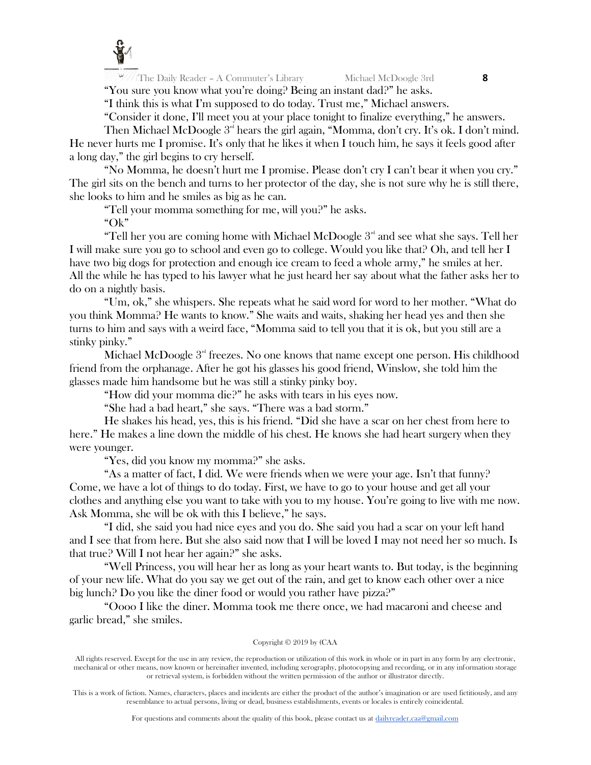

"You sure you know what you're doing? Being an instant dad?" he asks. "I think this is what I'm supposed to do today. Trust me," Michael answers.

"Consider it done, I'll meet you at your place tonight to finalize everything," he answers.

Then Michael McDoogle  $3<sup>rd</sup>$  hears the girl again, "Momma, don't cry. It's ok. I don't mind.

He never hurts me I promise. It's only that he likes it when I touch him, he says it feels good after a long day," the girl begins to cry herself.

"No Momma, he doesn't hurt me I promise. Please don't cry I can't bear it when you cry." The girl sits on the bench and turns to her protector of the day, she is not sure why he is still there, she looks to him and he smiles as big as he can.

"Tell your momma something for me, will you?" he asks.

"Ok"

"Tell her you are coming home with Michael McDoogle  $3<sup>rd</sup>$  and see what she says. Tell her I will make sure you go to school and even go to college. Would you like that? Oh, and tell her I have two big dogs for protection and enough ice cream to feed a whole army," he smiles at her. All the while he has typed to his lawyer what he just heard her say about what the father asks her to do on a nightly basis.

"Um, ok," she whispers. She repeats what he said word for word to her mother. "What do you think Momma? He wants to know." She waits and waits, shaking her head yes and then she turns to him and says with a weird face, "Momma said to tell you that it is ok, but you still are a stinky pinky."

Michael McDoogle  $3<sup>rd</sup>$  freezes. No one knows that name except one person. His childhood friend from the orphanage. After he got his glasses his good friend, Winslow, she told him the glasses made him handsome but he was still a stinky pinky boy.

"How did your momma die?" he asks with tears in his eyes now.

"She had a bad heart," she says. "There was a bad storm."

He shakes his head, yes, this is his friend. "Did she have a scar on her chest from here to here." He makes a line down the middle of his chest. He knows she had heart surgery when they were younger.

"Yes, did you know my momma?" she asks.

"As a matter of fact, I did. We were friends when we were your age. Isn't that funny? Come, we have a lot of things to do today. First, we have to go to your house and get all your clothes and anything else you want to take with you to my house. You're going to live with me now. Ask Momma, she will be ok with this I believe," he says.

"I did, she said you had nice eyes and you do. She said you had a scar on your left hand and I see that from here. But she also said now that I will be loved I may not need her so much. Is that true? Will I not hear her again?" she asks.

"Well Princess, you will hear her as long as your heart wants to. But today, is the beginning of your new life. What do you say we get out of the rain, and get to know each other over a nice big lunch? Do you like the diner food or would you rather have pizza?"

"Oooo I like the diner. Momma took me there once, we had macaroni and cheese and garlic bread," she smiles.

## Copyright © 2019 by (CAA

All rights reserved. Except for the use in any review, the reproduction or utilization of this work in whole or in part in any form by any electronic, mechanical or other means, now known or hereinafter invented, including xerography, photocopying and recording, or in any information storage or retrieval system, is forbidden without the written permission of the author or illustrator directly.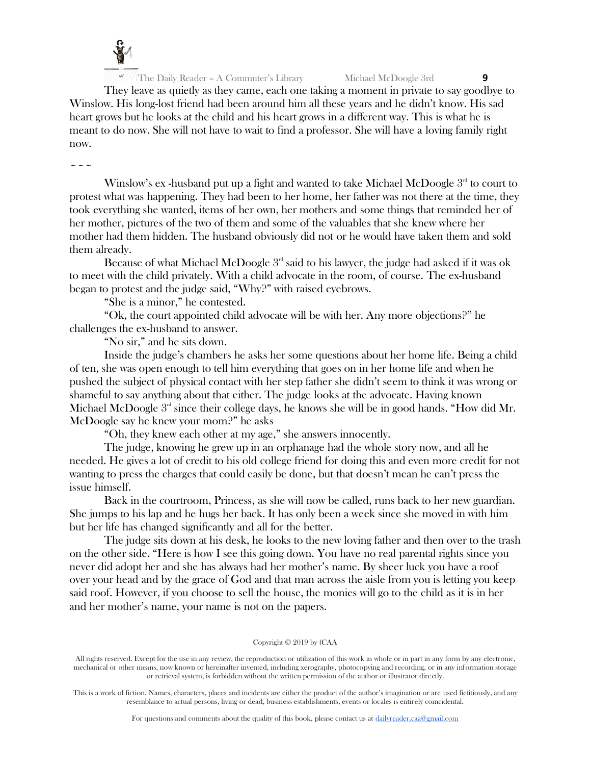

They leave as quietly as they came, each one taking a moment in private to say goodbye to Winslow. His long-lost friend had been around him all these years and he didn't know. His sad heart grows but he looks at the child and his heart grows in a different way. This is what he is meant to do now. She will not have to wait to find a professor. She will have a loving family right now.

~~~

Winslow's ex-husband put up a fight and wanted to take Michael McDoogle  $3<sup>rd</sup>$  to court to protest what was happening. They had been to her home, her father was not there at the time, they took everything she wanted, items of her own, her mothers and some things that reminded her of her mother, pictures of the two of them and some of the valuables that she knew where her mother had them hidden. The husband obviously did not or he would have taken them and sold them already.

Because of what Michael McDoogle  $3<sup>rd</sup>$  said to his lawyer, the judge had asked if it was ok to meet with the child privately. With a child advocate in the room, of course. The ex-husband began to protest and the judge said, "Why?" with raised eyebrows.

"She is a minor," he contested.

"Ok, the court appointed child advocate will be with her. Any more objections?" he challenges the ex-husband to answer.

"No sir," and he sits down.

Inside the judge's chambers he asks her some questions about her home life. Being a child of ten, she was open enough to tell him everything that goes on in her home life and when he pushed the subject of physical contact with her step father she didn't seem to think it was wrong or shameful to say anything about that either. The judge looks at the advocate. Having known Michael McDoogle  $3<sup>rd</sup>$  since their college days, he knows she will be in good hands. "How did Mr. McDoogle say he knew your mom?" he asks

"Oh, they knew each other at my age," she answers innocently.

The judge, knowing he grew up in an orphanage had the whole story now, and all he needed. He gives a lot of credit to his old college friend for doing this and even more credit for not wanting to press the charges that could easily be done, but that doesn't mean he can't press the issue himself.

Back in the courtroom, Princess, as she will now be called, runs back to her new guardian. She jumps to his lap and he hugs her back. It has only been a week since she moved in with him but her life has changed significantly and all for the better.

The judge sits down at his desk, he looks to the new loving father and then over to the trash on the other side. "Here is how I see this going down. You have no real parental rights since you never did adopt her and she has always had her mother's name. By sheer luck you have a roof over your head and by the grace of God and that man across the aisle from you is letting you keep said roof. However, if you choose to sell the house, the monies will go to the child as it is in her and her mother's name, your name is not on the papers.

# Copyright © 2019 by (CAA

All rights reserved. Except for the use in any review, the reproduction or utilization of this work in whole or in part in any form by any electronic, mechanical or other means, now known or hereinafter invented, including xerography, photocopying and recording, or in any information storage or retrieval system, is forbidden without the written permission of the author or illustrator directly.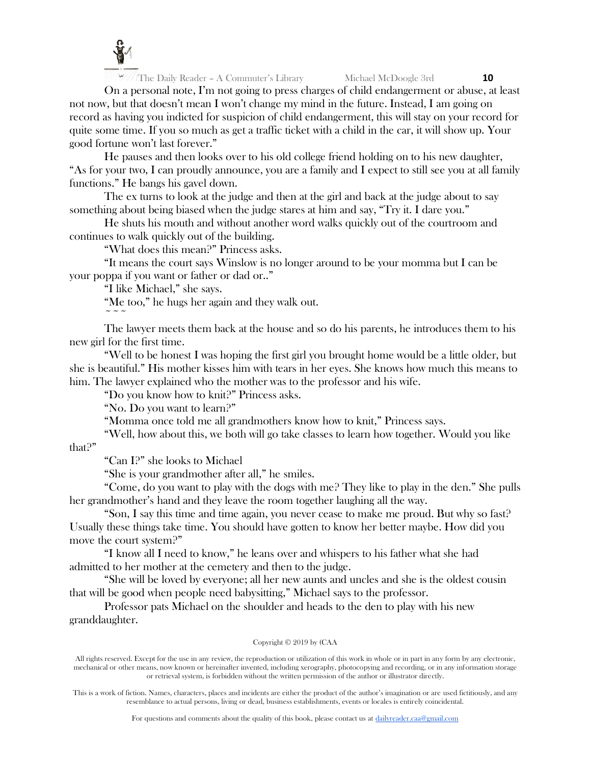

On a personal note, I'm not going to press charges of child endangerment or abuse, at least not now, but that doesn't mean I won't change my mind in the future. Instead, I am going on record as having you indicted for suspicion of child endangerment, this will stay on your record for quite some time. If you so much as get a traffic ticket with a child in the car, it will show up. Your good fortune won't last forever."

He pauses and then looks over to his old college friend holding on to his new daughter, "As for your two, I can proudly announce, you are a family and I expect to still see you at all family functions." He bangs his gavel down.

The ex turns to look at the judge and then at the girl and back at the judge about to say something about being biased when the judge stares at him and say, "Try it. I dare you."

He shuts his mouth and without another word walks quickly out of the courtroom and continues to walk quickly out of the building.

"What does this mean?" Princess asks.

"It means the court says Winslow is no longer around to be your momma but I can be your poppa if you want or father or dad or.."

"I like Michael," she says.

 $\sim$   $\sim$   $\sim$ 

"Me too," he hugs her again and they walk out.

The lawyer meets them back at the house and so do his parents, he introduces them to his new girl for the first time.

"Well to be honest I was hoping the first girl you brought home would be a little older, but she is beautiful." His mother kisses him with tears in her eyes. She knows how much this means to him. The lawyer explained who the mother was to the professor and his wife.

"Do you know how to knit?" Princess asks.

"No. Do you want to learn?"

"Momma once told me all grandmothers know how to knit," Princess says.

"Well, how about this, we both will go take classes to learn how together. Would you like that?"

"Can I?" she looks to Michael

"She is your grandmother after all," he smiles.

"Come, do you want to play with the dogs with me? They like to play in the den." She pulls her grandmother's hand and they leave the room together laughing all the way.

"Son, I say this time and time again, you never cease to make me proud. But why so fast? Usually these things take time. You should have gotten to know her better maybe. How did you move the court system?"

"I know all I need to know," he leans over and whispers to his father what she had admitted to her mother at the cemetery and then to the judge.

"She will be loved by everyone; all her new aunts and uncles and she is the oldest cousin that will be good when people need babysitting," Michael says to the professor.

Professor pats Michael on the shoulder and heads to the den to play with his new granddaughter.

#### Copyright © 2019 by (CAA

All rights reserved. Except for the use in any review, the reproduction or utilization of this work in whole or in part in any form by any electronic, mechanical or other means, now known or hereinafter invented, including xerography, photocopying and recording, or in any information storage or retrieval system, is forbidden without the written permission of the author or illustrator directly.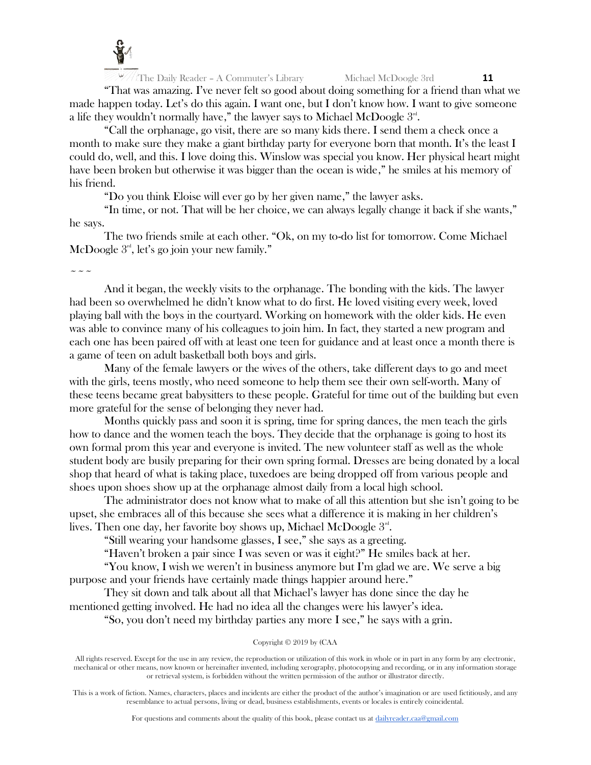

"That was amazing. I've never felt so good about doing something for a friend than what we made happen today. Let's do this again. I want one, but I don't know how. I want to give someone a life they wouldn't normally have," the lawyer says to Michael McDoogle  $3^\text{\tiny{rd}}$ .

"Call the orphanage, go visit, there are so many kids there. I send them a check once a month to make sure they make a giant birthday party for everyone born that month. It's the least I could do, well, and this. I love doing this. Winslow was special you know. Her physical heart might have been broken but otherwise it was bigger than the ocean is wide," he smiles at his memory of his friend.

"Do you think Eloise will ever go by her given name," the lawyer asks.

"In time, or not. That will be her choice, we can always legally change it back if she wants," he says.

The two friends smile at each other. "Ok, on my to-do list for tomorrow. Come Michael McDoogle  $3<sup>nd</sup>$ , let's go join your new family."

 $\sim$   $\sim$   $\sim$ 

And it began, the weekly visits to the orphanage. The bonding with the kids. The lawyer had been so overwhelmed he didn't know what to do first. He loved visiting every week, loved playing ball with the boys in the courtyard. Working on homework with the older kids. He even was able to convince many of his colleagues to join him. In fact, they started a new program and each one has been paired off with at least one teen for guidance and at least once a month there is a game of teen on adult basketball both boys and girls.

Many of the female lawyers or the wives of the others, take different days to go and meet with the girls, teens mostly, who need someone to help them see their own self-worth. Many of these teens became great babysitters to these people. Grateful for time out of the building but even more grateful for the sense of belonging they never had.

Months quickly pass and soon it is spring, time for spring dances, the men teach the girls how to dance and the women teach the boys. They decide that the orphanage is going to host its own formal prom this year and everyone is invited. The new volunteer staff as well as the whole student body are busily preparing for their own spring formal. Dresses are being donated by a local shop that heard of what is taking place, tuxedoes are being dropped off from various people and shoes upon shoes show up at the orphanage almost daily from a local high school.

The administrator does not know what to make of all this attention but she isn't going to be upset, she embraces all of this because she sees what a difference it is making in her children's lives. Then one day, her favorite boy shows up, Michael McDoogle  $3<sup>nd</sup>$ .

"Still wearing your handsome glasses, I see," she says as a greeting.

"Haven't broken a pair since I was seven or was it eight?" He smiles back at her.

"You know, I wish we weren't in business anymore but I'm glad we are. We serve a big purpose and your friends have certainly made things happier around here."

They sit down and talk about all that Michael's lawyer has done since the day he mentioned getting involved. He had no idea all the changes were his lawyer's idea.

"So, you don't need my birthday parties any more I see," he says with a grin.

Copyright © 2019 by (CAA

All rights reserved. Except for the use in any review, the reproduction or utilization of this work in whole or in part in any form by any electronic, mechanical or other means, now known or hereinafter invented, including xerography, photocopying and recording, or in any information storage or retrieval system, is forbidden without the written permission of the author or illustrator directly.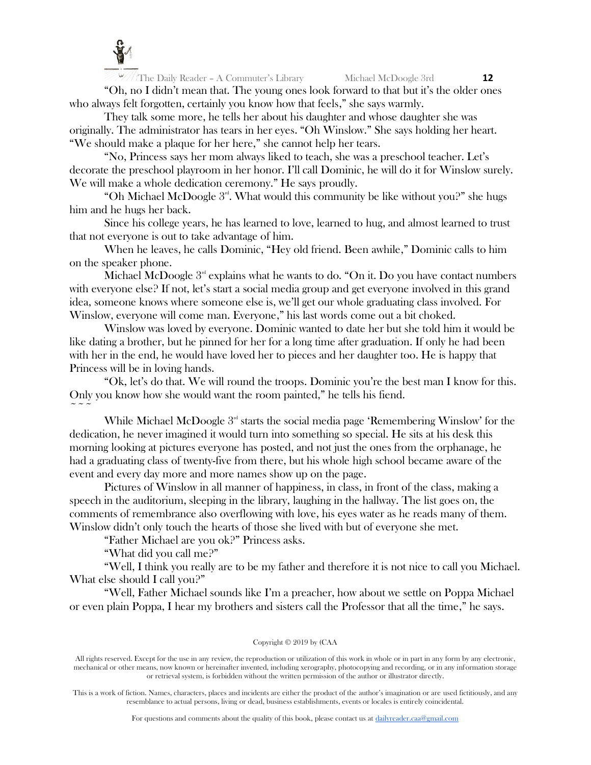

 $\frac{12}{12}$  The Daily Reader - A Commuter's Library Michael McDoogle 3rd **12** "Oh, no I didn't mean that. The young ones look forward to that but it's the older ones who always felt forgotten, certainly you know how that feels," she says warmly.

They talk some more, he tells her about his daughter and whose daughter she was originally. The administrator has tears in her eyes. "Oh Winslow." She says holding her heart. "We should make a plaque for her here," she cannot help her tears.

"No, Princess says her mom always liked to teach, she was a preschool teacher. Let's decorate the preschool playroom in her honor. I'll call Dominic, he will do it for Winslow surely. We will make a whole dedication ceremony." He says proudly.

"Oh Michael McDoogle  $3<sup>rd</sup>$ . What would this community be like without you?" she hugs him and he hugs her back.

Since his college years, he has learned to love, learned to hug, and almost learned to trust that not everyone is out to take advantage of him.

When he leaves, he calls Dominic, "Hey old friend. Been awhile," Dominic calls to him on the speaker phone.

Michael McDoogle  $3<sup>rd</sup>$  explains what he wants to do. "On it. Do you have contact numbers with everyone else? If not, let's start a social media group and get everyone involved in this grand idea, someone knows where someone else is, we'll get our whole graduating class involved. For Winslow, everyone will come man. Everyone," his last words come out a bit choked.

Winslow was loved by everyone. Dominic wanted to date her but she told him it would be like dating a brother, but he pinned for her for a long time after graduation. If only he had been with her in the end, he would have loved her to pieces and her daughter too. He is happy that Princess will be in loving hands.

"Ok, let's do that. We will round the troops. Dominic you're the best man I know for this. Only you know how she would want the room painted," he tells his fiend.  $\sim$   $\sim$   $\sim$ 

While Michael McDoogle  $3<sup>rd</sup>$  starts the social media page 'Remembering Winslow' for the dedication, he never imagined it would turn into something so special. He sits at his desk this morning looking at pictures everyone has posted, and not just the ones from the orphanage, he had a graduating class of twenty-five from there, but his whole high school became aware of the event and every day more and more names show up on the page.

Pictures of Winslow in all manner of happiness, in class, in front of the class, making a speech in the auditorium, sleeping in the library, laughing in the hallway. The list goes on, the comments of remembrance also overflowing with love, his eyes water as he reads many of them. Winslow didn't only touch the hearts of those she lived with but of everyone she met.

"Father Michael are you ok?" Princess asks.

"What did you call me?"

"Well, I think you really are to be my father and therefore it is not nice to call you Michael. What else should I call you?"

"Well, Father Michael sounds like I'm a preacher, how about we settle on Poppa Michael or even plain Poppa, I hear my brothers and sisters call the Professor that all the time," he says.

#### Copyright © 2019 by (CAA

All rights reserved. Except for the use in any review, the reproduction or utilization of this work in whole or in part in any form by any electronic, mechanical or other means, now known or hereinafter invented, including xerography, photocopying and recording, or in any information storage or retrieval system, is forbidden without the written permission of the author or illustrator directly.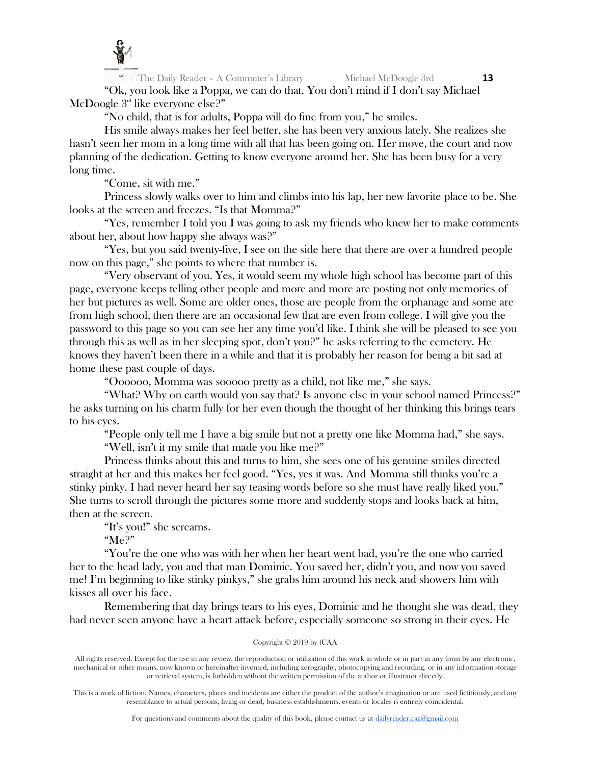

The Daily Reader – A Commuter's Library Michael McDoogle 3rd **13** "Ok, you look like a Poppa, we can do that. You don't mind if I don't say Michael McDoogle 3<sup>rd</sup> like everyone else?"

"No child, that is for adults, Poppa will do fine from you," he smiles.

His smile always makes her feel better, she has been very anxious lately. She realizes she hasn't seen her mom in a long time with all that has been going on. Her move, the court and now planning of the dedication. Getting to know everyone around her. She has been busy for a very long time.

"Come, sit with me."

Princess slowly walks over to him and climbs into his lap, her new favorite place to be. She looks at the screen and freezes. "Is that Momma?"

"Yes, remember I told you I was going to ask my friends who knew her to make comments about her, about how happy she always was?"

"Yes, but you said twenty-five, I see on the side here that there are over a hundred people now on this page," she points to where that number is.

"Very observant of you. Yes, it would seem my whole high school has become part of this page, everyone keeps telling other people and more and more are posting not only memories of her but pictures as well. Some are older ones, those are people from the orphanage and some are from high school, then there are an occasional few that are even from college. I will give you the password to this page so you can see her any time you'd like. I think she will be pleased to see you through this as well as in her sleeping spot, don't you?" he asks referring to the cemetery. He knows they haven't been there in a while and that it is probably her reason for being a bit sad at home these past couple of days.

"Oooooo, Momma was sooooo pretty as a child, not like me," she says.

"What? Why on earth would you say that? Is anyone else in your school named Princess?" he asks turning on his charm fully for her even though the thought of her thinking this brings tears to his eyes.

"People only tell me I have a big smile but not a pretty one like Momma had," she says. "Well, isn't it my smile that made you like me?"

Princess thinks about this and turns to him, she sees one of his genuine smiles directed straight at her and this makes her feel good. "Yes, yes it was. And Momma still thinks you're a stinky pinky. I had never heard her say teasing words before so she must have really liked you." She turns to scroll through the pictures some more and suddenly stops and looks back at him, then at the screen.

"It's you!" she screams.

"Me?"

"You're the one who was with her when her heart went bad, you're the one who carried her to the head lady, you and that man Dominic. You saved her, didn't you, and now you saved me! I'm beginning to like stinky pinkys," she grabs him around his neck and showers him with kisses all over his face.

Remembering that day brings tears to his eyes, Dominic and he thought she was dead, they had never seen anyone have a heart attack before, especially someone so strong in their eyes. He

## Copyright © 2019 by (CAA

All rights reserved. Except for the use in any review, the reproduction or utilization of this work in whole or in part in any form by any electronic, mechanical or other means, now known or hereinafter invented, including xerography, photocopying and recording, or in any information storage or retrieval system, is forbidden without the written permission of the author or illustrator directly.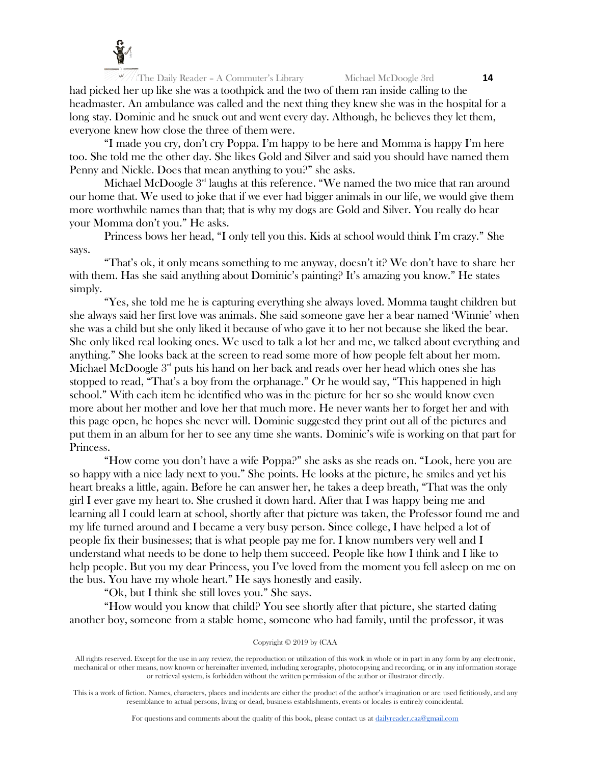

The Daily Reader – A Commuter's Library Michael McDoogle 3rd **14** had picked her up like she was a toothpick and the two of them ran inside calling to the headmaster. An ambulance was called and the next thing they knew she was in the hospital for a long stay. Dominic and he snuck out and went every day. Although, he believes they let them, everyone knew how close the three of them were.

"I made you cry, don't cry Poppa. I'm happy to be here and Momma is happy I'm here too. She told me the other day. She likes Gold and Silver and said you should have named them Penny and Nickle. Does that mean anything to you?" she asks.

Michael McDoogle  $3<sup>rd</sup>$  laughs at this reference. "We named the two mice that ran around our home that. We used to joke that if we ever had bigger animals in our life, we would give them more worthwhile names than that; that is why my dogs are Gold and Silver. You really do hear your Momma don't you." He asks.

Princess bows her head, "I only tell you this. Kids at school would think I'm crazy." She says.

"That's ok, it only means something to me anyway, doesn't it? We don't have to share her with them. Has she said anything about Dominic's painting? It's amazing you know." He states simply.

"Yes, she told me he is capturing everything she always loved. Momma taught children but she always said her first love was animals. She said someone gave her a bear named 'Winnie' when she was a child but she only liked it because of who gave it to her not because she liked the bear. She only liked real looking ones. We used to talk a lot her and me, we talked about everything and anything." She looks back at the screen to read some more of how people felt about her mom. Michael McDoogle  $3<sup>nd</sup>$  puts his hand on her back and reads over her head which ones she has stopped to read, "That's a boy from the orphanage." Or he would say, "This happened in high school." With each item he identified who was in the picture for her so she would know even more about her mother and love her that much more. He never wants her to forget her and with this page open, he hopes she never will. Dominic suggested they print out all of the pictures and put them in an album for her to see any time she wants. Dominic's wife is working on that part for Princess.

"How come you don't have a wife Poppa?" she asks as she reads on. "Look, here you are so happy with a nice lady next to you." She points. He looks at the picture, he smiles and yet his heart breaks a little, again. Before he can answer her, he takes a deep breath, "That was the only girl I ever gave my heart to. She crushed it down hard. After that I was happy being me and learning all I could learn at school, shortly after that picture was taken, the Professor found me and my life turned around and I became a very busy person. Since college, I have helped a lot of people fix their businesses; that is what people pay me for. I know numbers very well and I understand what needs to be done to help them succeed. People like how I think and I like to help people. But you my dear Princess, you I've loved from the moment you fell asleep on me on the bus. You have my whole heart." He says honestly and easily.

"Ok, but I think she still loves you." She says.

"How would you know that child? You see shortly after that picture, she started dating another boy, someone from a stable home, someone who had family, until the professor, it was

#### Copyright © 2019 by (CAA

All rights reserved. Except for the use in any review, the reproduction or utilization of this work in whole or in part in any form by any electronic, mechanical or other means, now known or hereinafter invented, including xerography, photocopying and recording, or in any information storage or retrieval system, is forbidden without the written permission of the author or illustrator directly.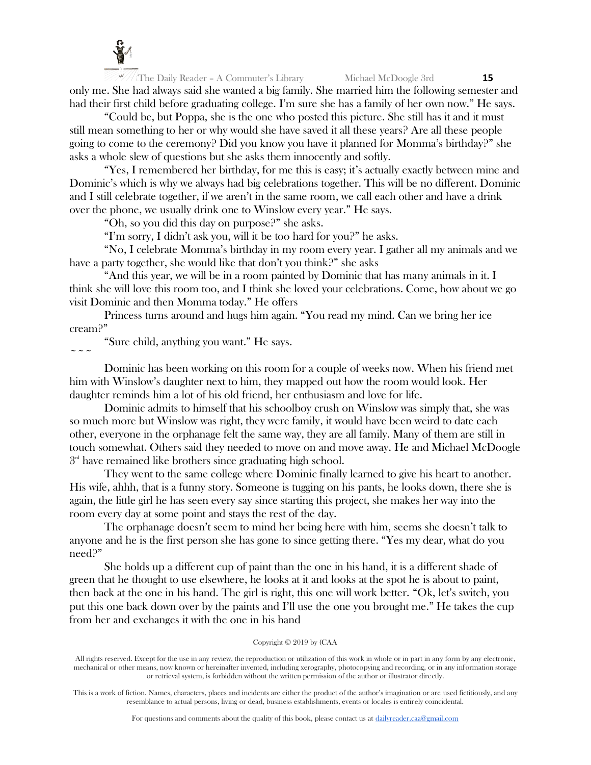

The Daily Reader – A Commuter's Library Michael McDoogle 3rd **15** only me. She had always said she wanted a big family. She married him the following semester and had their first child before graduating college. I'm sure she has a family of her own now." He says.

"Could be, but Poppa, she is the one who posted this picture. She still has it and it must still mean something to her or why would she have saved it all these years? Are all these people going to come to the ceremony? Did you know you have it planned for Momma's birthday?" she asks a whole slew of questions but she asks them innocently and softly.

"Yes, I remembered her birthday, for me this is easy; it's actually exactly between mine and Dominic's which is why we always had big celebrations together. This will be no different. Dominic and I still celebrate together, if we aren't in the same room, we call each other and have a drink over the phone, we usually drink one to Winslow every year." He says.

"Oh, so you did this day on purpose?" she asks.

"I'm sorry, I didn't ask you, will it be too hard for you?" he asks.

"No, I celebrate Momma's birthday in my room every year. I gather all my animals and we have a party together, she would like that don't you think?" she asks

"And this year, we will be in a room painted by Dominic that has many animals in it. I think she will love this room too, and I think she loved your celebrations. Come, how about we go visit Dominic and then Momma today." He offers

Princess turns around and hugs him again. "You read my mind. Can we bring her ice cream?"

"Sure child, anything you want." He says.  $\sim$   $\sim$   $\sim$ 

Dominic has been working on this room for a couple of weeks now. When his friend met him with Winslow's daughter next to him, they mapped out how the room would look. Her daughter reminds him a lot of his old friend, her enthusiasm and love for life.

Dominic admits to himself that his schoolboy crush on Winslow was simply that, she was so much more but Winslow was right, they were family, it would have been weird to date each other, everyone in the orphanage felt the same way, they are all family. Many of them are still in touch somewhat. Others said they needed to move on and move away. He and Michael McDoogle  $3<sup>rd</sup>$  have remained like brothers since graduating high school.

They went to the same college where Dominic finally learned to give his heart to another. His wife, ahhh, that is a funny story. Someone is tugging on his pants, he looks down, there she is again, the little girl he has seen every say since starting this project, she makes her way into the room every day at some point and stays the rest of the day.

The orphanage doesn't seem to mind her being here with him, seems she doesn't talk to anyone and he is the first person she has gone to since getting there. "Yes my dear, what do you need?"

She holds up a different cup of paint than the one in his hand, it is a different shade of green that he thought to use elsewhere, he looks at it and looks at the spot he is about to paint, then back at the one in his hand. The girl is right, this one will work better. "Ok, let's switch, you put this one back down over by the paints and I'll use the one you brought me." He takes the cup from her and exchanges it with the one in his hand

#### Copyright © 2019 by (CAA

All rights reserved. Except for the use in any review, the reproduction or utilization of this work in whole or in part in any form by any electronic, mechanical or other means, now known or hereinafter invented, including xerography, photocopying and recording, or in any information storage or retrieval system, is forbidden without the written permission of the author or illustrator directly.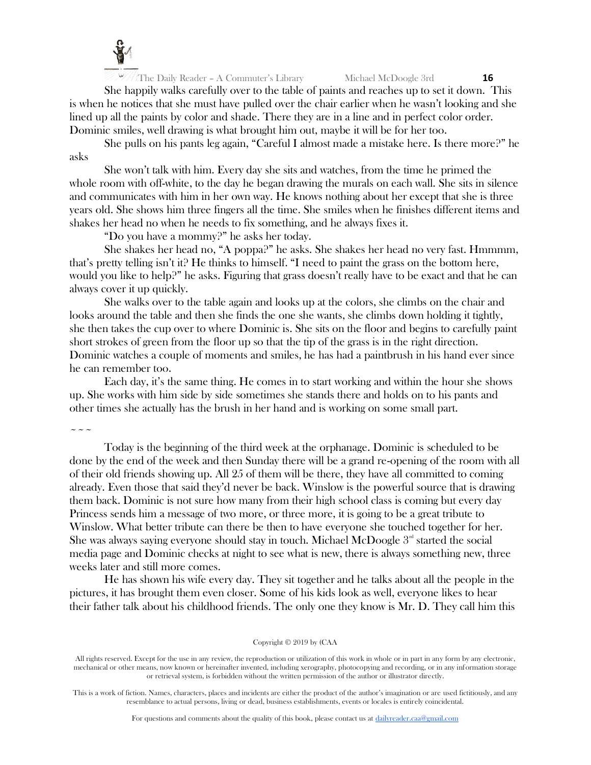

She happily walks carefully over to the table of paints and reaches up to set it down. This is when he notices that she must have pulled over the chair earlier when he wasn't looking and she lined up all the paints by color and shade. There they are in a line and in perfect color order. Dominic smiles, well drawing is what brought him out, maybe it will be for her too.

She pulls on his pants leg again, "Careful I almost made a mistake here. Is there more?" he asks

She won't talk with him. Every day she sits and watches, from the time he primed the whole room with off-white, to the day he began drawing the murals on each wall. She sits in silence and communicates with him in her own way. He knows nothing about her except that she is three years old. She shows him three fingers all the time. She smiles when he finishes different items and shakes her head no when he needs to fix something, and he always fixes it.

"Do you have a mommy?" he asks her today.

She shakes her head no, "A poppa?" he asks. She shakes her head no very fast. Hmmmm, that's pretty telling isn't it? He thinks to himself. "I need to paint the grass on the bottom here, would you like to help?" he asks. Figuring that grass doesn't really have to be exact and that he can always cover it up quickly.

She walks over to the table again and looks up at the colors, she climbs on the chair and looks around the table and then she finds the one she wants, she climbs down holding it tightly, she then takes the cup over to where Dominic is. She sits on the floor and begins to carefully paint short strokes of green from the floor up so that the tip of the grass is in the right direction. Dominic watches a couple of moments and smiles, he has had a paintbrush in his hand ever since he can remember too.

Each day, it's the same thing. He comes in to start working and within the hour she shows up. She works with him side by side sometimes she stands there and holds on to his pants and other times she actually has the brush in her hand and is working on some small part.

 $\sim$   $\sim$   $\sim$ 

Today is the beginning of the third week at the orphanage. Dominic is scheduled to be done by the end of the week and then Sunday there will be a grand re-opening of the room with all of their old friends showing up. All 25 of them will be there, they have all committed to coming already. Even those that said they'd never be back. Winslow is the powerful source that is drawing them back. Dominic is not sure how many from their high school class is coming but every day Princess sends him a message of two more, or three more, it is going to be a great tribute to Winslow. What better tribute can there be then to have everyone she touched together for her. She was always saying everyone should stay in touch. Michael McDoogle  $3<sup>nd</sup>$  started the social media page and Dominic checks at night to see what is new, there is always something new, three weeks later and still more comes.

He has shown his wife every day. They sit together and he talks about all the people in the pictures, it has brought them even closer. Some of his kids look as well, everyone likes to hear their father talk about his childhood friends. The only one they know is Mr. D. They call him this

#### Copyright © 2019 by (CAA

All rights reserved. Except for the use in any review, the reproduction or utilization of this work in whole or in part in any form by any electronic, mechanical or other means, now known or hereinafter invented, including xerography, photocopying and recording, or in any information storage or retrieval system, is forbidden without the written permission of the author or illustrator directly.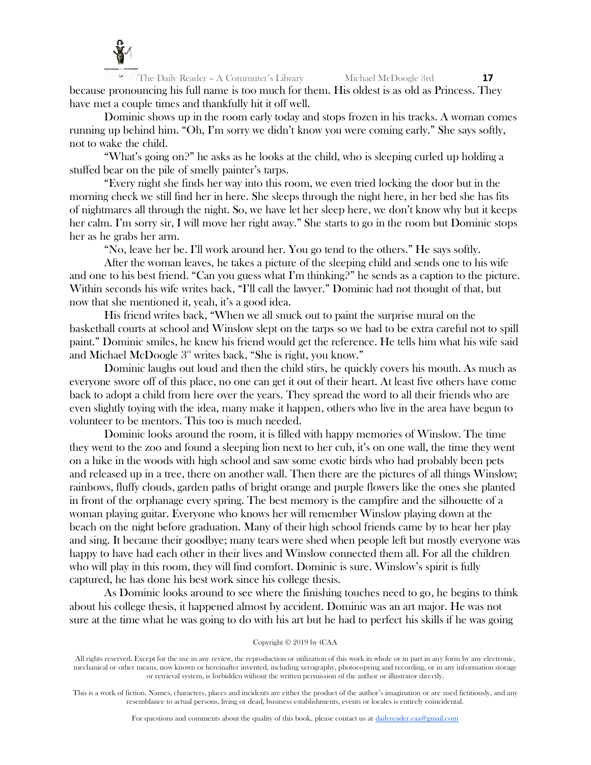

The Daily Reader – A Commuter's Library Michael McDoogle 3rd **17** because pronouncing his full name is too much for them. His oldest is as old as Princess. They have met a couple times and thankfully hit it off well.

Dominic shows up in the room early today and stops frozen in his tracks. A woman comes running up behind him. "Oh, I'm sorry we didn't know you were coming early." She says softly, not to wake the child.

"What's going on?" he asks as he looks at the child, who is sleeping curled up holding a stuffed bear on the pile of smelly painter's tarps.

"Every night she finds her way into this room, we even tried locking the door but in the morning check we still find her in here. She sleeps through the night here, in her bed she has fits of nightmares all through the night. So, we have let her sleep here, we don't know why but it keeps her calm. I'm sorry sir, I will move her right away." She starts to go in the room but Dominic stops her as he grabs her arm.

"No, leave her be. I'll work around her. You go tend to the others." He says softly.

After the woman leaves, he takes a picture of the sleeping child and sends one to his wife and one to his best friend. "Can you guess what I'm thinking?" he sends as a caption to the picture. Within seconds his wife writes back, "I'll call the lawyer." Dominic had not thought of that, but now that she mentioned it, yeah, it's a good idea.

His friend writes back, "When we all snuck out to paint the surprise mural on the basketball courts at school and Winslow slept on the tarps so we had to be extra careful not to spill paint." Dominic smiles, he knew his friend would get the reference. He tells him what his wife said and Michael McDoogle  $3<sup>nd</sup>$  writes back, "She is right, you know."

Dominic laughs out loud and then the child stirs, he quickly covers his mouth. As much as everyone swore off of this place, no one can get it out of their heart. At least five others have come back to adopt a child from here over the years. They spread the word to all their friends who are even slightly toying with the idea, many make it happen, others who live in the area have begun to volunteer to be mentors. This too is much needed.

Dominic looks around the room, it is filled with happy memories of Winslow. The time they went to the zoo and found a sleeping lion next to her cub, it's on one wall, the time they went on a hike in the woods with high school and saw some exotic birds who had probably been pets and released up in a tree, there on another wall. Then there are the pictures of all things Winslow; rainbows, fluffy clouds, garden paths of bright orange and purple flowers like the ones she planted in front of the orphanage every spring. The best memory is the campfire and the silhouette of a woman playing guitar. Everyone who knows her will remember Winslow playing down at the beach on the night before graduation. Many of their high school friends came by to hear her play and sing. It became their goodbye; many tears were shed when people left but mostly everyone was happy to have had each other in their lives and Winslow connected them all. For all the children who will play in this room, they will find comfort. Dominic is sure. Winslow's spirit is fully captured, he has done his best work since his college thesis.

As Dominic looks around to see where the finishing touches need to go, he begins to think about his college thesis, it happened almost by accident. Dominic was an art major. He was not sure at the time what he was going to do with his art but he had to perfect his skills if he was going

## Copyright © 2019 by (CAA

All rights reserved. Except for the use in any review, the reproduction or utilization of this work in whole or in part in any form by any electronic, mechanical or other means, now known or hereinafter invented, including xerography, photocopying and recording, or in any information storage or retrieval system, is forbidden without the written permission of the author or illustrator directly.

This is a work of fiction. Names, characters, places and incidents are either the product of the author's imagination or are used fictitiously, and any resemblance to actual persons, living or dead, business establishments, events or locales is entirely coincidental.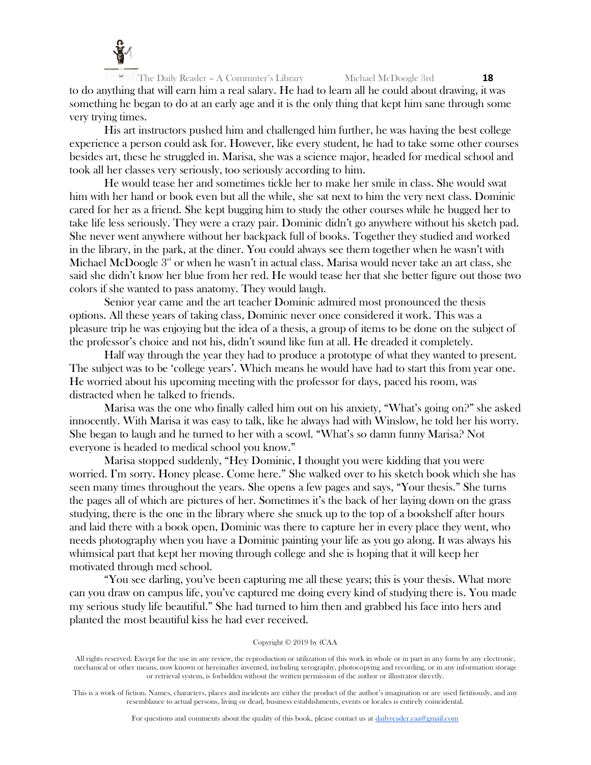

The Daily Reader – A Commuter's Library Michael McDoogle 3rd **18** to do anything that will earn him a real salary. He had to learn all he could about drawing, it was something he began to do at an early age and it is the only thing that kept him sane through some very trying times.

His art instructors pushed him and challenged him further, he was having the best college experience a person could ask for. However, like every student, he had to take some other courses besides art, these he struggled in. Marisa, she was a science major, headed for medical school and took all her classes very seriously, too seriously according to him.

He would tease her and sometimes tickle her to make her smile in class. She would swat him with her hand or book even but all the while, she sat next to him the very next class. Dominic cared for her as a friend. She kept bugging him to study the other courses while he bugged her to take life less seriously. They were a crazy pair. Dominic didn't go anywhere without his sketch pad. She never went anywhere without her backpack full of books. Together they studied and worked in the library, in the park, at the diner. You could always see them together when he wasn't with Michael McDoogle  $3<sup>rd</sup>$  or when he wasn't in actual class. Marisa would never take an art class, she said she didn't know her blue from her red. He would tease her that she better figure out those two colors if she wanted to pass anatomy. They would laugh.

Senior year came and the art teacher Dominic admired most pronounced the thesis options. All these years of taking class, Dominic never once considered it work. This was a pleasure trip he was enjoying but the idea of a thesis, a group of items to be done on the subject of the professor's choice and not his, didn't sound like fun at all. He dreaded it completely.

Half way through the year they had to produce a prototype of what they wanted to present. The subject was to be 'college years'. Which means he would have had to start this from year one. He worried about his upcoming meeting with the professor for days, paced his room, was distracted when he talked to friends.

Marisa was the one who finally called him out on his anxiety, "What's going on?" she asked innocently. With Marisa it was easy to talk, like he always had with Winslow, he told her his worry. She began to laugh and he turned to her with a scowl. "What's so damn funny Marisa? Not everyone is headed to medical school you know."

Marisa stopped suddenly, "Hey Dominic, I thought you were kidding that you were worried. I'm sorry. Honey please. Come here." She walked over to his sketch book which she has seen many times throughout the years. She opens a few pages and says, "Your thesis." She turns the pages all of which are pictures of her. Sometimes it's the back of her laying down on the grass studying, there is the one in the library where she snuck up to the top of a bookshelf after hours and laid there with a book open, Dominic was there to capture her in every place they went, who needs photography when you have a Dominic painting your life as you go along. It was always his whimsical part that kept her moving through college and she is hoping that it will keep her motivated through med school.

"You see darling, you've been capturing me all these years; this is your thesis. What more can you draw on campus life, you've captured me doing every kind of studying there is. You made my serious study life beautiful." She had turned to him then and grabbed his face into hers and planted the most beautiful kiss he had ever received.

#### Copyright © 2019 by (CAA

All rights reserved. Except for the use in any review, the reproduction or utilization of this work in whole or in part in any form by any electronic, mechanical or other means, now known or hereinafter invented, including xerography, photocopying and recording, or in any information storage or retrieval system, is forbidden without the written permission of the author or illustrator directly.

This is a work of fiction. Names, characters, places and incidents are either the product of the author's imagination or are used fictitiously, and any resemblance to actual persons, living or dead, business establishments, events or locales is entirely coincidental.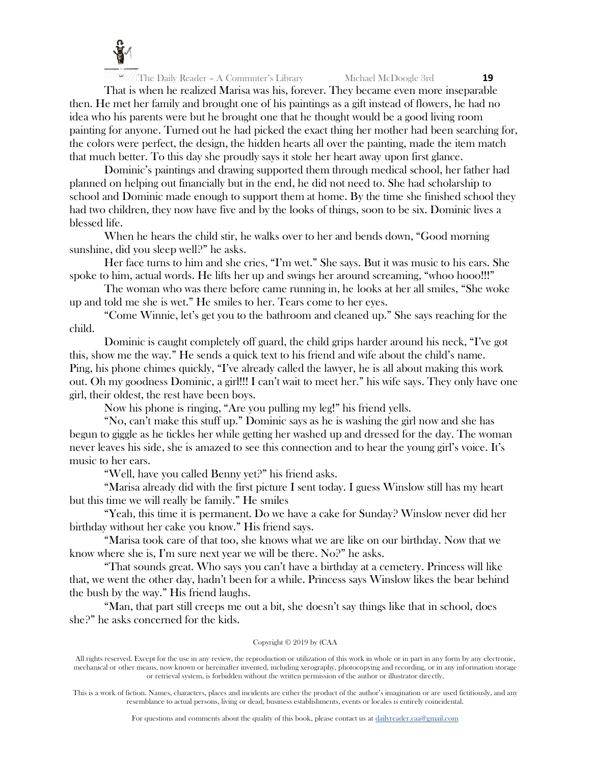

That is when he realized Marisa was his, forever. They became even more inseparable then. He met her family and brought one of his paintings as a gift instead of flowers, he had no idea who his parents were but he brought one that he thought would be a good living room painting for anyone. Turned out he had picked the exact thing her mother had been searching for, the colors were perfect, the design, the hidden hearts all over the painting, made the item match that much better. To this day she proudly says it stole her heart away upon first glance.

Dominic's paintings and drawing supported them through medical school, her father had planned on helping out financially but in the end, he did not need to. She had scholarship to school and Dominic made enough to support them at home. By the time she finished school they had two children, they now have five and by the looks of things, soon to be six. Dominic lives a blessed life.

When he hears the child stir, he walks over to her and bends down, "Good morning sunshine, did you sleep well?" he asks.

Her face turns to him and she cries, "I'm wet." She says. But it was music to his ears. She spoke to him, actual words. He lifts her up and swings her around screaming, "whoo hooo!!!"

The woman who was there before came running in, he looks at her all smiles, "She woke up and told me she is wet." He smiles to her. Tears come to her eyes.

"Come Winnie, let's get you to the bathroom and cleaned up." She says reaching for the child.

Dominic is caught completely off guard, the child grips harder around his neck, "I've got this, show me the way." He sends a quick text to his friend and wife about the child's name. Ping, his phone chimes quickly, "I've already called the lawyer, he is all about making this work out. Oh my goodness Dominic, a girl!!! I can't wait to meet her." his wife says. They only have one girl, their oldest, the rest have been boys.

Now his phone is ringing, "Are you pulling my leg!" his friend yells.

"No, can't make this stuff up." Dominic says as he is washing the girl now and she has begun to giggle as he tickles her while getting her washed up and dressed for the day. The woman never leaves his side, she is amazed to see this connection and to hear the young girl's voice. It's music to her ears.

"Well, have you called Benny yet?" his friend asks.

"Marisa already did with the first picture I sent today. I guess Winslow still has my heart but this time we will really be family." He smiles

"Yeah, this time it is permanent. Do we have a cake for Sunday? Winslow never did her birthday without her cake you know." His friend says.

"Marisa took care of that too, she knows what we are like on our birthday. Now that we know where she is, I'm sure next year we will be there. No?" he asks.

"That sounds great. Who says you can't have a birthday at a cemetery. Princess will like that, we went the other day, hadn't been for a while. Princess says Winslow likes the bear behind the bush by the way." His friend laughs.

"Man, that part still creeps me out a bit, she doesn't say things like that in school, does she?" he asks concerned for the kids.

## Copyright © 2019 by (CAA

All rights reserved. Except for the use in any review, the reproduction or utilization of this work in whole or in part in any form by any electronic, mechanical or other means, now known or hereinafter invented, including xerography, photocopying and recording, or in any information storage or retrieval system, is forbidden without the written permission of the author or illustrator directly.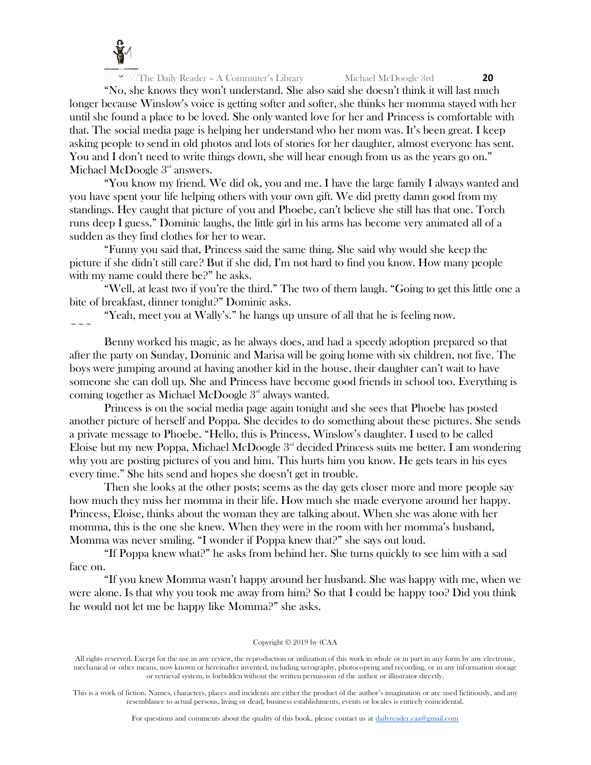

"No, she knows they won't understand. She also said she doesn't think it will last much longer because Winslow's voice is getting softer and softer, she thinks her momma stayed with her until she found a place to be loved. She only wanted love for her and Princess is comfortable with that. The social media page is helping her understand who her mom was. It's been great. I keep asking people to send in old photos and lots of stories for her daughter, almost everyone has sent. You and I don't need to write things down, she will hear enough from us as the years go on." Michael McDoogle  $3<sup>rd</sup>$  answers.

"You know my friend. We did ok, you and me. I have the large family I always wanted and you have spent your life helping others with your own gift. We did pretty damn good from my standings. Hey caught that picture of you and Phoebe, can't believe she still has that one. Torch runs deep I guess." Dominic laughs, the little girl in his arms has become very animated all of a sudden as they find clothes for her to wear.

"Funny you said that, Princess said the same thing. She said why would she keep the picture if she didn't still care? But if she did, I'm not hard to find you know. How many people with my name could there be?" he asks.

"Well, at least two if you're the third." The two of them laugh. "Going to get this little one a bite of breakfast, dinner tonight?" Dominic asks.

"Yeah, meet you at Wally's." he hangs up unsure of all that he is feeling now.

 $\sim$   $\sim$   $\sim$ 

Benny worked his magic, as he always does, and had a speedy adoption prepared so that after the party on Sunday, Dominic and Marisa will be going home with six children, not five. The boys were jumping around at having another kid in the house, their daughter can't wait to have someone she can doll up. She and Princess have become good friends in school too. Everything is coming together as Michael McDoogle 3<sup>rd</sup> always wanted.

Princess is on the social media page again tonight and she sees that Phoebe has posted another picture of herself and Poppa. She decides to do something about these pictures. She sends a private message to Phoebe. "Hello, this is Princess, Winslow's daughter. I used to be called Eloise but my new Poppa, Michael McDoogle  $3<sup>rd</sup>$  decided Princess suits me better. I am wondering why you are posting pictures of you and him. This hurts him you know. He gets tears in his eyes every time." She hits send and hopes she doesn't get in trouble.

Then she looks at the other posts; seems as the day gets closer more and more people say how much they miss her momma in their life. How much she made everyone around her happy. Princess, Eloise, thinks about the woman they are talking about. When she was alone with her momma, this is the one she knew. When they were in the room with her momma's husband, Momma was never smiling. "I wonder if Poppa knew that?" she says out loud.

"If Poppa knew what?" he asks from behind her. She turns quickly to see him with a sad face on.

"If you knew Momma wasn't happy around her husband. She was happy with me, when we were alone. Is that why you took me away from him? So that I could be happy too? Did you think he would not let me be happy like Momma?" she asks.

## Copyright © 2019 by (CAA

All rights reserved. Except for the use in any review, the reproduction or utilization of this work in whole or in part in any form by any electronic, mechanical or other means, now known or hereinafter invented, including xerography, photocopying and recording, or in any information storage or retrieval system, is forbidden without the written permission of the author or illustrator directly.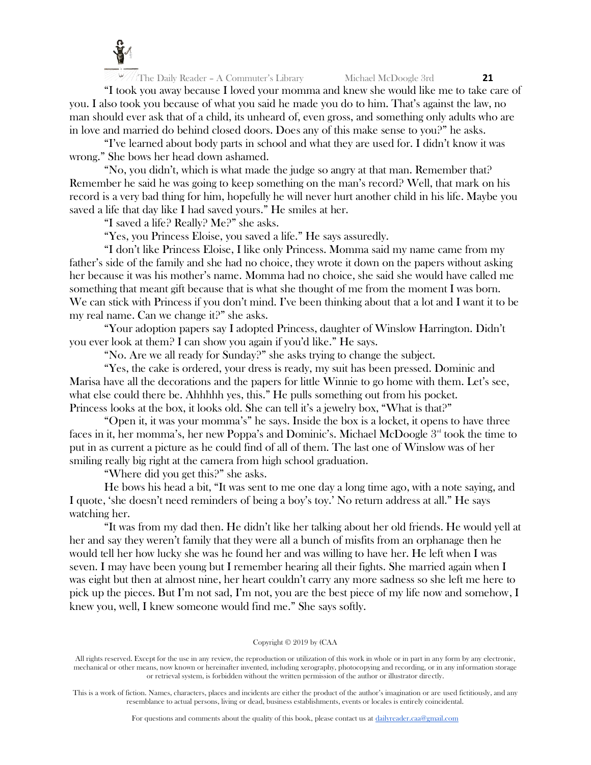

"I took you away because I loved your momma and knew she would like me to take care of you. I also took you because of what you said he made you do to him. That's against the law, no man should ever ask that of a child, its unheard of, even gross, and something only adults who are in love and married do behind closed doors. Does any of this make sense to you?" he asks.

"I've learned about body parts in school and what they are used for. I didn't know it was wrong." She bows her head down ashamed.

"No, you didn't, which is what made the judge so angry at that man. Remember that? Remember he said he was going to keep something on the man's record? Well, that mark on his record is a very bad thing for him, hopefully he will never hurt another child in his life. Maybe you saved a life that day like I had saved yours." He smiles at her.

"I saved a life? Really? Me?" she asks.

"Yes, you Princess Eloise, you saved a life." He says assuredly.

"I don't like Princess Eloise, I like only Princess. Momma said my name came from my father's side of the family and she had no choice, they wrote it down on the papers without asking her because it was his mother's name. Momma had no choice, she said she would have called me something that meant gift because that is what she thought of me from the moment I was born. We can stick with Princess if you don't mind. I've been thinking about that a lot and I want it to be my real name. Can we change it?" she asks.

"Your adoption papers say I adopted Princess, daughter of Winslow Harrington. Didn't you ever look at them? I can show you again if you'd like." He says.

"No. Are we all ready for Sunday?" she asks trying to change the subject.

"Yes, the cake is ordered, your dress is ready, my suit has been pressed. Dominic and Marisa have all the decorations and the papers for little Winnie to go home with them. Let's see, what else could there be. Ahhhhh yes, this." He pulls something out from his pocket. Princess looks at the box, it looks old. She can tell it's a jewelry box, "What is that?"

"Open it, it was your momma's" he says. Inside the box is a locket, it opens to have three faces in it, her momma's, her new Poppa's and Dominic's. Michael McDoogle  $3<sup>nd</sup>$  took the time to put in as current a picture as he could find of all of them. The last one of Winslow was of her smiling really big right at the camera from high school graduation.

"Where did you get this?" she asks.

He bows his head a bit, "It was sent to me one day a long time ago, with a note saying, and I quote, 'she doesn't need reminders of being a boy's toy.' No return address at all." He says watching her.

"It was from my dad then. He didn't like her talking about her old friends. He would yell at her and say they weren't family that they were all a bunch of misfits from an orphanage then he would tell her how lucky she was he found her and was willing to have her. He left when I was seven. I may have been young but I remember hearing all their fights. She married again when I was eight but then at almost nine, her heart couldn't carry any more sadness so she left me here to pick up the pieces. But I'm not sad, I'm not, you are the best piece of my life now and somehow, I knew you, well, I knew someone would find me." She says softly.

#### Copyright © 2019 by (CAA

All rights reserved. Except for the use in any review, the reproduction or utilization of this work in whole or in part in any form by any electronic, mechanical or other means, now known or hereinafter invented, including xerography, photocopying and recording, or in any information storage or retrieval system, is forbidden without the written permission of the author or illustrator directly.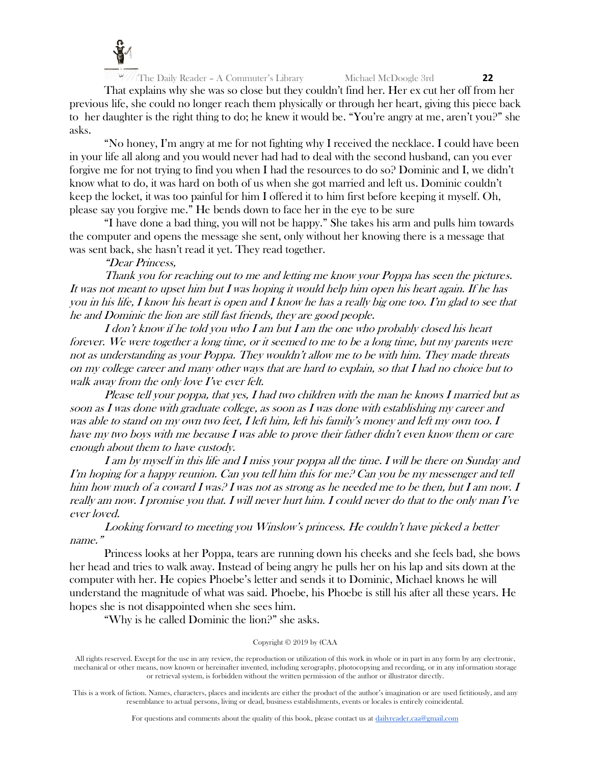

That explains why she was so close but they couldn't find her. Her ex cut her off from her previous life, she could no longer reach them physically or through her heart, giving this piece back to her daughter is the right thing to do; he knew it would be. "You're angry at me, aren't you?" she asks.

"No honey, I'm angry at me for not fighting why I received the necklace. I could have been in your life all along and you would never had had to deal with the second husband, can you ever forgive me for not trying to find you when I had the resources to do so? Dominic and I, we didn't know what to do, it was hard on both of us when she got married and left us. Dominic couldn't keep the locket, it was too painful for him I offered it to him first before keeping it myself. Oh, please say you forgive me." He bends down to face her in the eye to be sure

"I have done a bad thing, you will not be happy." She takes his arm and pulls him towards the computer and opens the message she sent, only without her knowing there is a message that was sent back, she hasn't read it yet. They read together.

"Dear Princess,

Thank you for reaching out to me and letting me know your Poppa has seen the pictures. It was not meant to upset him but I was hoping it would help him open his heart again. If he has you in his life, I know his heart is open and I know he has a really big one too. I'm glad to see that he and Dominic the lion are still fast friends, they are good people.

I don't know if he told you who I am but I am the one who probably closed his heart forever. We were together a long time, or it seemed to me to be a long time, but my parents were not as understanding as your Poppa. They wouldn't allow me to be with him. They made threats on my college career and many other ways that are hard to explain, so that I had no choice but to walk away from the only love I've ever felt.

Please tell your poppa, that yes, I had two children with the man he knows I married but as soon as I was done with graduate college, as soon as I was done with establishing my career and was able to stand on my own two feet, I left him, left his family's money and left my own too. I have my two boys with me because I was able to prove their father didn't even know them or care enough about them to have custody.

I am by myself in this life and I miss your poppa all the time. I will be there on Sunday and I'm hoping for a happy reunion. Can you tell him this for me? Can you be my messenger and tell him how much of a coward I was? I was not as strong as he needed me to be then, but I am now. I really am now. I promise you that. I will never hurt him. I could never do that to the only man I've ever loved.

Looking forward to meeting you Winslow's princess. He couldn't have picked a better name."

Princess looks at her Poppa, tears are running down his cheeks and she feels bad, she bows her head and tries to walk away. Instead of being angry he pulls her on his lap and sits down at the computer with her. He copies Phoebe's letter and sends it to Dominic, Michael knows he will understand the magnitude of what was said. Phoebe, his Phoebe is still his after all these years. He hopes she is not disappointed when she sees him.

"Why is he called Dominic the lion?" she asks.

# Copyright © 2019 by (CAA

All rights reserved. Except for the use in any review, the reproduction or utilization of this work in whole or in part in any form by any electronic, mechanical or other means, now known or hereinafter invented, including xerography, photocopying and recording, or in any information storage or retrieval system, is forbidden without the written permission of the author or illustrator directly.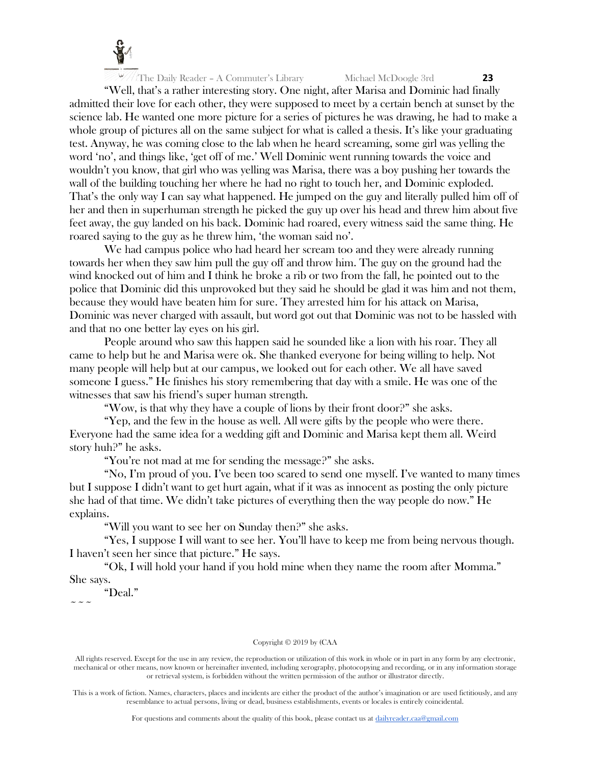

"Well, that's a rather interesting story. One night, after Marisa and Dominic had finally admitted their love for each other, they were supposed to meet by a certain bench at sunset by the science lab. He wanted one more picture for a series of pictures he was drawing, he had to make a whole group of pictures all on the same subject for what is called a thesis. It's like your graduating test. Anyway, he was coming close to the lab when he heard screaming, some girl was yelling the word 'no', and things like, 'get off of me.' Well Dominic went running towards the voice and wouldn't you know, that girl who was yelling was Marisa, there was a boy pushing her towards the wall of the building touching her where he had no right to touch her, and Dominic exploded. That's the only way I can say what happened. He jumped on the guy and literally pulled him off of her and then in superhuman strength he picked the guy up over his head and threw him about five feet away, the guy landed on his back. Dominic had roared, every witness said the same thing. He roared saying to the guy as he threw him, 'the woman said no'.

We had campus police who had heard her scream too and they were already running towards her when they saw him pull the guy off and throw him. The guy on the ground had the wind knocked out of him and I think he broke a rib or two from the fall, he pointed out to the police that Dominic did this unprovoked but they said he should be glad it was him and not them, because they would have beaten him for sure. They arrested him for his attack on Marisa, Dominic was never charged with assault, but word got out that Dominic was not to be hassled with and that no one better lay eyes on his girl.

People around who saw this happen said he sounded like a lion with his roar. They all came to help but he and Marisa were ok. She thanked everyone for being willing to help. Not many people will help but at our campus, we looked out for each other. We all have saved someone I guess." He finishes his story remembering that day with a smile. He was one of the witnesses that saw his friend's super human strength.

"Wow, is that why they have a couple of lions by their front door?" she asks.

"Yep, and the few in the house as well. All were gifts by the people who were there. Everyone had the same idea for a wedding gift and Dominic and Marisa kept them all. Weird story huh?" he asks.

"You're not mad at me for sending the message?" she asks.

"No, I'm proud of you. I've been too scared to send one myself. I've wanted to many times but I suppose I didn't want to get hurt again, what if it was as innocent as posting the only picture she had of that time. We didn't take pictures of everything then the way people do now." He explains.

"Will you want to see her on Sunday then?" she asks.

"Yes, I suppose I will want to see her. You'll have to keep me from being nervous though. I haven't seen her since that picture." He says.

"Ok, I will hold your hand if you hold mine when they name the room after Momma." She says.

"Deal."  $\sim$   $\sim$   $\sim$ 

#### Copyright © 2019 by (CAA

This is a work of fiction. Names, characters, places and incidents are either the product of the author's imagination or are used fictitiously, and any resemblance to actual persons, living or dead, business establishments, events or locales is entirely coincidental.

For questions and comments about the quality of this book, please contact us at [dailyreader.caa@gmail.com](mailto:dailyreader.caa@gmail.com)

All rights reserved. Except for the use in any review, the reproduction or utilization of this work in whole or in part in any form by any electronic, mechanical or other means, now known or hereinafter invented, including xerography, photocopying and recording, or in any information storage or retrieval system, is forbidden without the written permission of the author or illustrator directly.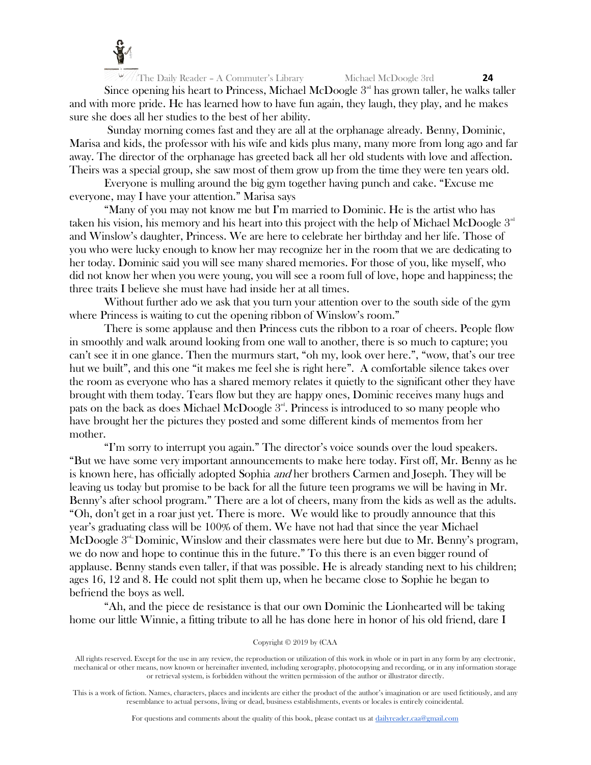

Since opening his heart to Princess, Michael McDoogle  $3<sup>rd</sup>$  has grown taller, he walks taller and with more pride. He has learned how to have fun again, they laugh, they play, and he makes sure she does all her studies to the best of her ability.

Sunday morning comes fast and they are all at the orphanage already. Benny, Dominic, Marisa and kids, the professor with his wife and kids plus many, many more from long ago and far away. The director of the orphanage has greeted back all her old students with love and affection. Theirs was a special group, she saw most of them grow up from the time they were ten years old.

Everyone is mulling around the big gym together having punch and cake. "Excuse me everyone, may I have your attention." Marisa says

"Many of you may not know me but I'm married to Dominic. He is the artist who has taken his vision, his memory and his heart into this project with the help of Michael McDoogle  $3<sup>rd</sup>$ and Winslow's daughter, Princess. We are here to celebrate her birthday and her life. Those of you who were lucky enough to know her may recognize her in the room that we are dedicating to her today. Dominic said you will see many shared memories. For those of you, like myself, who did not know her when you were young, you will see a room full of love, hope and happiness; the three traits I believe she must have had inside her at all times.

Without further ado we ask that you turn your attention over to the south side of the gym where Princess is waiting to cut the opening ribbon of Winslow's room."

There is some applause and then Princess cuts the ribbon to a roar of cheers. People flow in smoothly and walk around looking from one wall to another, there is so much to capture; you can't see it in one glance. Then the murmurs start, "oh my, look over here.", "wow, that's our tree hut we built", and this one "it makes me feel she is right here". A comfortable silence takes over the room as everyone who has a shared memory relates it quietly to the significant other they have brought with them today. Tears flow but they are happy ones, Dominic receives many hugs and pats on the back as does Michael McDoogle  $3<sup>nd</sup>$ . Princess is introduced to so many people who have brought her the pictures they posted and some different kinds of mementos from her mother.

"I'm sorry to interrupt you again." The director's voice sounds over the loud speakers. "But we have some very important announcements to make here today. First off, Mr. Benny as he is known here, has officially adopted Sophia *and* her brothers Carmen and Joseph. They will be leaving us today but promise to be back for all the future teen programs we will be having in Mr. Benny's after school program." There are a lot of cheers, many from the kids as well as the adults. "Oh, don't get in a roar just yet. There is more. We would like to proudly announce that this year's graduating class will be 100% of them. We have not had that since the year Michael McDoogle  $3<sup>nd</sup>$  Dominic, Winslow and their classmates were here but due to Mr. Benny's program, we do now and hope to continue this in the future." To this there is an even bigger round of applause. Benny stands even taller, if that was possible. He is already standing next to his children; ages 16, 12 and 8. He could not split them up, when he became close to Sophie he began to befriend the boys as well.

"Ah, and the piece de resistance is that our own Dominic the Lionhearted will be taking home our little Winnie, a fitting tribute to all he has done here in honor of his old friend, dare I

#### Copyright © 2019 by (CAA

All rights reserved. Except for the use in any review, the reproduction or utilization of this work in whole or in part in any form by any electronic, mechanical or other means, now known or hereinafter invented, including xerography, photocopying and recording, or in any information storage or retrieval system, is forbidden without the written permission of the author or illustrator directly.

This is a work of fiction. Names, characters, places and incidents are either the product of the author's imagination or are used fictitiously, and any resemblance to actual persons, living or dead, business establishments, events or locales is entirely coincidental.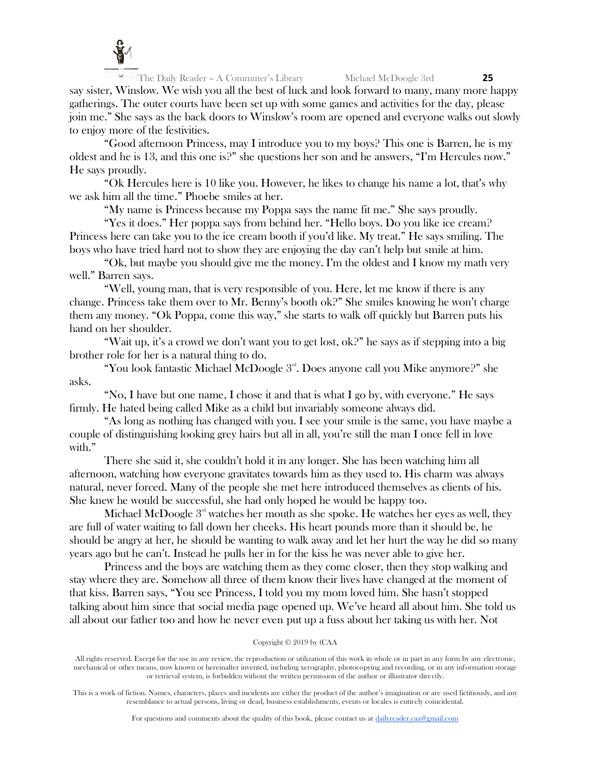

The Daily Reader – A Commuter's Library Michael McDoogle 3rd **25** say sister, Winslow. We wish you all the best of luck and look forward to many, many more happy gatherings. The outer courts have been set up with some games and activities for the day, please join me." She says as the back doors to Winslow's room are opened and everyone walks out slowly to enjoy more of the festivities.

"Good afternoon Princess, may I introduce you to my boys? This one is Barren, he is my oldest and he is 13, and this one is?" she questions her son and he answers, "I'm Hercules now." He says proudly.

"Ok Hercules here is 10 like you. However, he likes to change his name a lot, that's why we ask him all the time." Phoebe smiles at her.

"My name is Princess because my Poppa says the name fit me." She says proudly.

"Yes it does." Her poppa says from behind her. "Hello boys. Do you like ice cream? Princess here can take you to the ice cream booth if you'd like. My treat." He says smiling. The boys who have tried hard not to show they are enjoying the day can't help but smile at him.

"Ok, but maybe you should give me the money. I'm the oldest and I know my math very well." Barren says.

"Well, young man, that is very responsible of you. Here, let me know if there is any change. Princess take them over to Mr. Benny's booth ok?" She smiles knowing he won't charge them any money. "Ok Poppa, come this way," she starts to walk off quickly but Barren puts his hand on her shoulder.

"Wait up, it's a crowd we don't want you to get lost, ok?" he says as if stepping into a big brother role for her is a natural thing to do.

"You look fantastic Michael McDoogle  $3<sup>rd</sup>$ . Does anyone call you Mike anymore?" she asks.

"No, I have but one name, I chose it and that is what I go by, with everyone." He says firmly. He hated being called Mike as a child but invariably someone always did.

"As long as nothing has changed with you. I see your smile is the same, you have maybe a couple of distinguishing looking grey hairs but all in all, you're still the man I once fell in love with."

There she said it, she couldn't hold it in any longer. She has been watching him all afternoon, watching how everyone gravitates towards him as they used to. His charm was always natural, never forced. Many of the people she met here introduced themselves as clients of his. She knew he would be successful, she had only hoped he would be happy too.

Michael McDoogle  $3<sup>rd</sup>$  watches her mouth as she spoke. He watches her eyes as well, they are full of water waiting to fall down her cheeks. His heart pounds more than it should be, he should be angry at her, he should be wanting to walk away and let her hurt the way he did so many years ago but he can't. Instead he pulls her in for the kiss he was never able to give her.

Princess and the boys are watching them as they come closer, then they stop walking and stay where they are. Somehow all three of them know their lives have changed at the moment of that kiss. Barren says, "You see Princess, I told you my mom loved him. She hasn't stopped talking about him since that social media page opened up. We've heard all about him. She told us all about our father too and how he never even put up a fuss about her taking us with her. Not

#### Copyright © 2019 by (CAA

All rights reserved. Except for the use in any review, the reproduction or utilization of this work in whole or in part in any form by any electronic, mechanical or other means, now known or hereinafter invented, including xerography, photocopying and recording, or in any information storage or retrieval system, is forbidden without the written permission of the author or illustrator directly.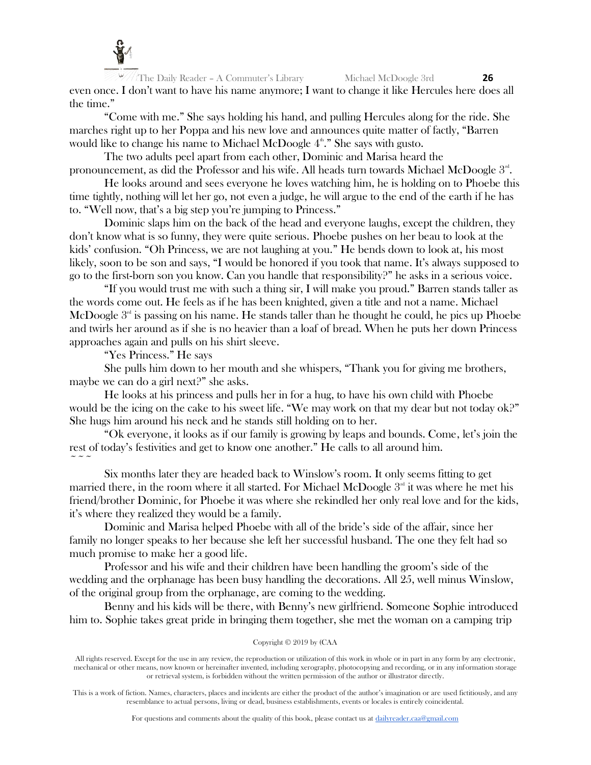

The Daily Reader – A Commuter's Library Michael McDoogle 3rd **26** even once. I don't want to have his name anymore; I want to change it like Hercules here does all the time."

"Come with me." She says holding his hand, and pulling Hercules along for the ride. She marches right up to her Poppa and his new love and announces quite matter of factly, "Barren would like to change his name to Michael McDoogle  $4^{\text{th}}$ ." She says with gusto.

The two adults peel apart from each other, Dominic and Marisa heard the pronouncement, as did the Professor and his wife. All heads turn towards Michael McDoogle  $3^\text{\tiny{nt}}$ .

He looks around and sees everyone he loves watching him, he is holding on to Phoebe this time tightly, nothing will let her go, not even a judge, he will argue to the end of the earth if he has to. "Well now, that's a big step you're jumping to Princess."

Dominic slaps him on the back of the head and everyone laughs, except the children, they don't know what is so funny, they were quite serious. Phoebe pushes on her beau to look at the kids' confusion. "Oh Princess, we are not laughing at you." He bends down to look at, his most likely, soon to be son and says, "I would be honored if you took that name. It's always supposed to go to the first-born son you know. Can you handle that responsibility?" he asks in a serious voice.

"If you would trust me with such a thing sir, I will make you proud." Barren stands taller as the words come out. He feels as if he has been knighted, given a title and not a name. Michael McDoogle  $3<sup>rd</sup>$  is passing on his name. He stands taller than he thought he could, he pics up Phoebe and twirls her around as if she is no heavier than a loaf of bread. When he puts her down Princess approaches again and pulls on his shirt sleeve.

"Yes Princess." He says

She pulls him down to her mouth and she whispers, "Thank you for giving me brothers, maybe we can do a girl next?" she asks.

He looks at his princess and pulls her in for a hug, to have his own child with Phoebe would be the icing on the cake to his sweet life. "We may work on that my dear but not today ok?" She hugs him around his neck and he stands still holding on to her.

"Ok everyone, it looks as if our family is growing by leaps and bounds. Come, let's join the rest of today's festivities and get to know one another." He calls to all around him.  $\sim$   $\sim$   $\sim$ 

Six months later they are headed back to Winslow's room. It only seems fitting to get married there, in the room where it all started. For Michael McDoogle  $3<sup>rd</sup>$  it was where he met his friend/brother Dominic, for Phoebe it was where she rekindled her only real love and for the kids, it's where they realized they would be a family.

Dominic and Marisa helped Phoebe with all of the bride's side of the affair, since her family no longer speaks to her because she left her successful husband. The one they felt had so much promise to make her a good life.

Professor and his wife and their children have been handling the groom's side of the wedding and the orphanage has been busy handling the decorations. All 25, well minus Winslow, of the original group from the orphanage, are coming to the wedding.

Benny and his kids will be there, with Benny's new girlfriend. Someone Sophie introduced him to. Sophie takes great pride in bringing them together, she met the woman on a camping trip

## Copyright © 2019 by (CAA

All rights reserved. Except for the use in any review, the reproduction or utilization of this work in whole or in part in any form by any electronic, mechanical or other means, now known or hereinafter invented, including xerography, photocopying and recording, or in any information storage or retrieval system, is forbidden without the written permission of the author or illustrator directly.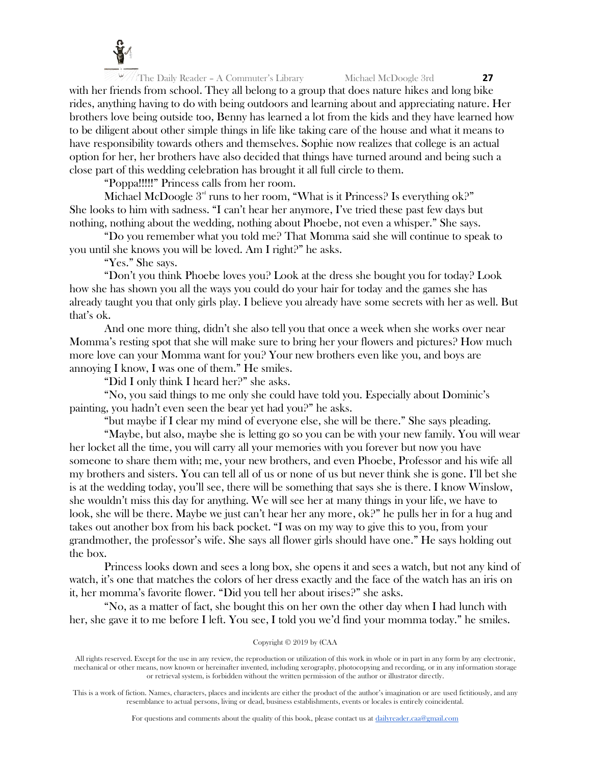

with her friends from school. They all belong to a group that does nature hikes and long bike rides, anything having to do with being outdoors and learning about and appreciating nature. Her brothers love being outside too, Benny has learned a lot from the kids and they have learned how to be diligent about other simple things in life like taking care of the house and what it means to have responsibility towards others and themselves. Sophie now realizes that college is an actual option for her, her brothers have also decided that things have turned around and being such a close part of this wedding celebration has brought it all full circle to them.

"Poppa!!!!!" Princess calls from her room.

Michael McDoogle  $3<sup>rd</sup>$  runs to her room, "What is it Princess? Is everything ok?" She looks to him with sadness. "I can't hear her anymore, I've tried these past few days but nothing, nothing about the wedding, nothing about Phoebe, not even a whisper." She says.

"Do you remember what you told me? That Momma said she will continue to speak to you until she knows you will be loved. Am I right?" he asks.

"Yes." She says.

"Don't you think Phoebe loves you? Look at the dress she bought you for today? Look how she has shown you all the ways you could do your hair for today and the games she has already taught you that only girls play. I believe you already have some secrets with her as well. But that's ok.

And one more thing, didn't she also tell you that once a week when she works over near Momma's resting spot that she will make sure to bring her your flowers and pictures? How much more love can your Momma want for you? Your new brothers even like you, and boys are annoying I know, I was one of them." He smiles.

"Did I only think I heard her?" she asks.

"No, you said things to me only she could have told you. Especially about Dominic's painting, you hadn't even seen the bear yet had you?" he asks.

"but maybe if I clear my mind of everyone else, she will be there." She says pleading.

"Maybe, but also, maybe she is letting go so you can be with your new family. You will wear her locket all the time, you will carry all your memories with you forever but now you have someone to share them with; me, your new brothers, and even Phoebe, Professor and his wife all my brothers and sisters. You can tell all of us or none of us but never think she is gone. I'll bet she is at the wedding today, you'll see, there will be something that says she is there. I know Winslow, she wouldn't miss this day for anything. We will see her at many things in your life, we have to look, she will be there. Maybe we just can't hear her any more, ok?" he pulls her in for a hug and takes out another box from his back pocket. "I was on my way to give this to you, from your grandmother, the professor's wife. She says all flower girls should have one." He says holding out the box.

Princess looks down and sees a long box, she opens it and sees a watch, but not any kind of watch, it's one that matches the colors of her dress exactly and the face of the watch has an iris on it, her momma's favorite flower. "Did you tell her about irises?" she asks.

"No, as a matter of fact, she bought this on her own the other day when I had lunch with her, she gave it to me before I left. You see, I told you we'd find your momma today." he smiles.

#### Copyright © 2019 by (CAA

All rights reserved. Except for the use in any review, the reproduction or utilization of this work in whole or in part in any form by any electronic, mechanical or other means, now known or hereinafter invented, including xerography, photocopying and recording, or in any information storage or retrieval system, is forbidden without the written permission of the author or illustrator directly.